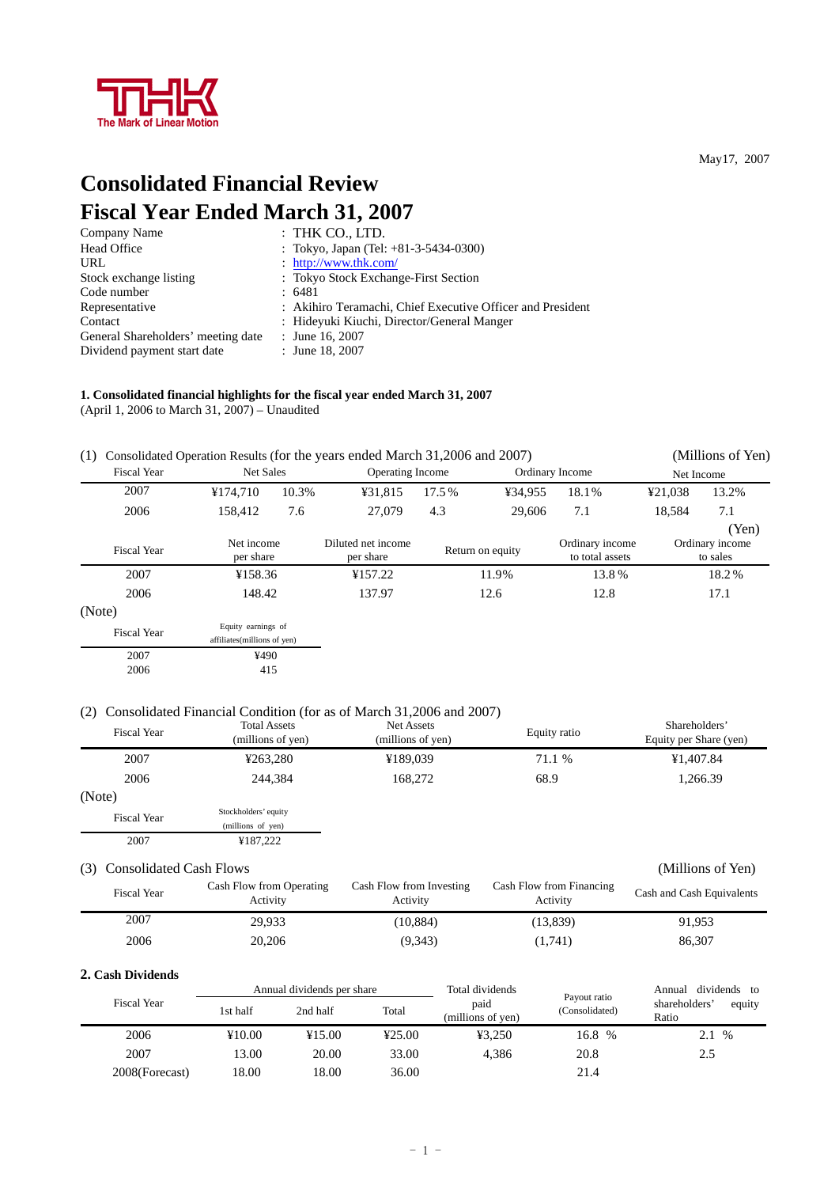

**Consolidated Financial Review Fiscal Year Ended March 31, 2007** 

| $:$ THK CO., LTD.                                          |
|------------------------------------------------------------|
| : Tokyo, Japan (Tel: +81-3-5434-0300)                      |
| : http://www.thk.com/                                      |
| : Tokyo Stock Exchange-First Section                       |
| : 6481                                                     |
| : Akihiro Teramachi, Chief Executive Officer and President |
| : Hideyuki Kiuchi, Director/General Manger                 |
| : June 16, 2007                                            |
| : June 18, 2007                                            |
|                                                            |

### **1. Consolidated financial highlights for the fiscal year ended March 31, 2007**  (April 1, 2006 to March 31, 2007) – Unaudited

| (1)                |                                                   |       | Consolidated Operation Results (for the years ended March 31,2006 and 2007) |                  |                  |                                    |            | (Millions of Yen)                    |
|--------------------|---------------------------------------------------|-------|-----------------------------------------------------------------------------|------------------|------------------|------------------------------------|------------|--------------------------------------|
| <b>Fiscal Year</b> | Net Sales                                         |       |                                                                             | Operating Income |                  | Ordinary Income                    | Net Income |                                      |
| 2007               | ¥174,710                                          | 10.3% | ¥31,815                                                                     | 17.5%            | ¥34,955          | 18.1%                              | ¥21,038    | 13.2%                                |
| 2006               | 158.412                                           | 7.6   | 27,079                                                                      | 4.3              | 29,606           | 7.1                                | 18,584     | 7.1                                  |
| <b>Fiscal Year</b> | Net income<br>per share                           |       | Diluted net income<br>per share                                             |                  | Return on equity | Ordinary income<br>to total assets |            | (Yen)<br>Ordinary income<br>to sales |
| 2007               | ¥158.36                                           |       | ¥157.22                                                                     | 11.9%            |                  | 13.8%                              |            | 18.2%                                |
| 2006               | 148.42                                            |       | 137.97                                                                      |                  | 12.6             | 12.8                               |            | 17.1                                 |
| (Note)             |                                                   |       |                                                                             |                  |                  |                                    |            |                                      |
| <b>Fiscal Year</b> | Equity earnings of<br>affiliates(millions of yen) |       |                                                                             |                  |                  |                                    |            |                                      |
| 2007<br>2006       | ¥490<br>415                                       |       |                                                                             |                  |                  |                                    |            |                                      |

### (2) Consolidated Financial Condition (for as of March 31,2006 and 2007)

| <b>Fiscal Year</b> | <b>Total Assets</b><br>(millions of yen) | Net Assets<br>(millions of yen) | Equity ratio | Shareholders'<br>Equity per Share (yen) |
|--------------------|------------------------------------------|---------------------------------|--------------|-----------------------------------------|
| 2007               | ¥263,280                                 | ¥189,039                        | 71.1 %       | ¥1,407.84                               |
| 2006               | 244.384                                  | 168,272                         | 68.9         | 1,266.39                                |
| (Note)             |                                          |                                 |              |                                         |
| <b>Fiscal Year</b> | Stockholders' equity                     |                                 |              |                                         |
|                    | (millions of yen)                        |                                 |              |                                         |
| 2007               | ¥187,222                                 |                                 |              |                                         |
|                    |                                          |                                 |              |                                         |

### (3) Consolidated Cash Flows (Millions of Yen)

| <b>Fiscal Year</b> | Cash Flow from Operating<br>Activity | Cash Flow from Investing<br>Activity | Cash Flow from Financing<br>Activity | Cash and Cash Equivalents |
|--------------------|--------------------------------------|--------------------------------------|--------------------------------------|---------------------------|
| 2007               | 29.933                               | (10.884)                             | (13.839)                             | 91.953                    |
| 2006               | 20,206                               | (9,343)                              | (1,741)                              | 86.307                    |

### **2. Cash Dividends**

|                    |          | Annual dividends per share |        | Total dividends                                             |        | dividends<br>Annual<br>to        |
|--------------------|----------|----------------------------|--------|-------------------------------------------------------------|--------|----------------------------------|
| <b>Fiscal Year</b> | 1st half | 2nd half                   | Total  | Payout ratio<br>paid<br>(Consolidated)<br>(millions of yen) |        | shareholders'<br>equity<br>Ratio |
| 2006               | ¥10.00   | ¥15.00                     | 425.00 | 43.250                                                      | 16.8 % | 2.1<br>$\%$                      |
| 2007               | 13.00    | 20.00                      | 33.00  | 4.386                                                       | 20.8   | 2.5                              |
| 2008(Forecast)     | 18.00    | 18.00                      | 36.00  |                                                             | 21.4   |                                  |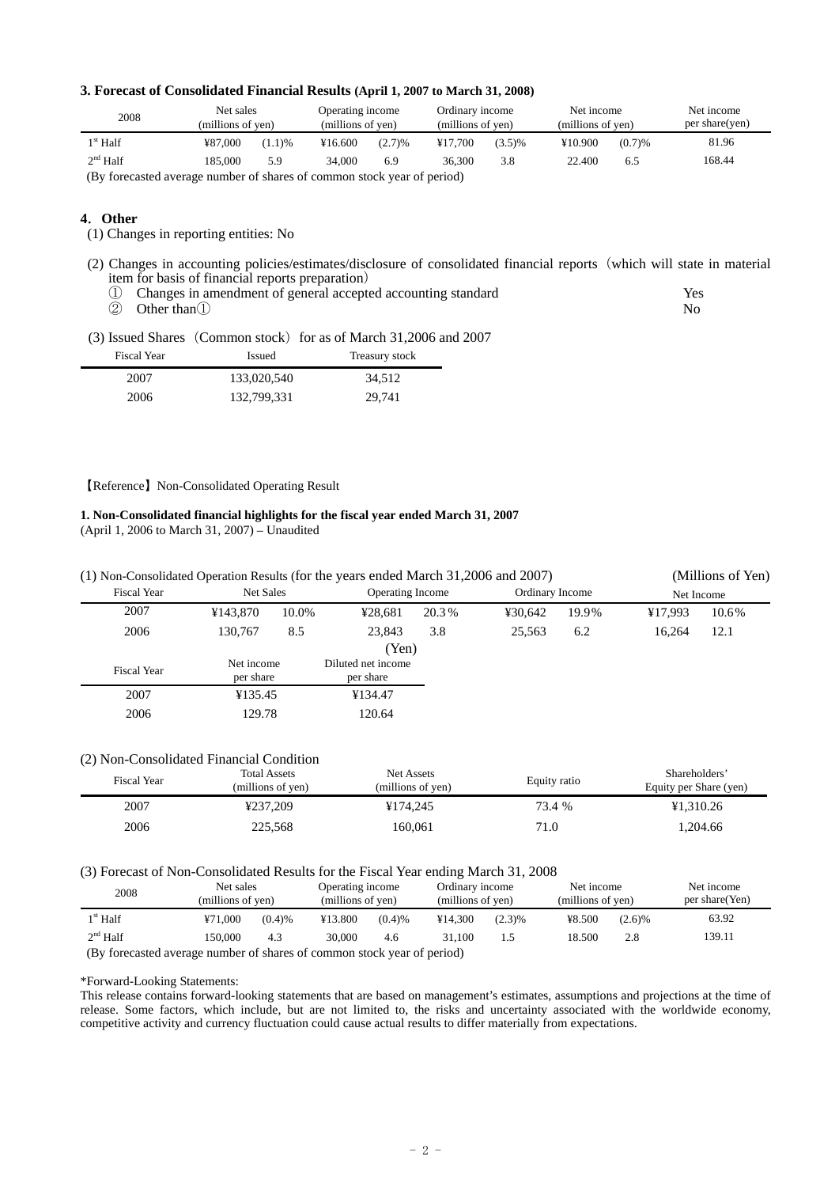### **3. Forecast of Consolidated Financial Results (April 1, 2007 to March 31, 2008)**

| 2008              | Net sales<br>(millions of yen) |        | Operating income<br>(millions of yen) |        | Ordinary income<br>(millions of yen) |        | Net income<br>(millions of yen) |        | Net income<br>per share(yen) |
|-------------------|--------------------------------|--------|---------------------------------------|--------|--------------------------------------|--------|---------------------------------|--------|------------------------------|
| $1^{\rm st}$ Half | ¥87,000                        | (1.1)% | ¥16.600                               | (2.7)% | ¥17.700                              | (3.5)% | ¥10.900                         | (0.7)% | 81.96                        |
| $2nd$ Half        | 185,000                        | 5.9    | 34,000                                | 6.9    | 36.300                               | 3.8    | 22.400                          | 6.5    | 168.44                       |
|                   |                                |        |                                       |        |                                      |        |                                 |        |                              |

(By forecasted average number of shares of common stock year of period)

### **4**.**Other**

(1) Changes in reporting entities: No

(2) Changes in accounting policies/estimates/disclosure of consolidated financial reports(which will state in material item for basis of financial reports preparation)

| 1) Changes in amendment of general accepted accounting standard | Yes. |
|-----------------------------------------------------------------|------|
| $(2)$ Other than $(1)$                                          | No.  |

(3) Issued Shares (Common stock) for as of March 31,2006 and 2007

| Fiscal Year | <b>Issued</b> | Treasury stock |
|-------------|---------------|----------------|
| 2007        | 133,020,540   | 34.512         |
| 2006        | 132,799,331   | 29.741         |

### 【Reference】Non-Consolidated Operating Result

### **1. Non-Consolidated financial highlights for the fiscal year ended March 31, 2007**

(April 1, 2006 to March 31, 2007) – Unaudited

| (1) Non-Consolidated Operation Results (for the years ended March 31,2006 and 2007) |            |                  |                    |                         |                 |       |            | (Millions of Yen) |
|-------------------------------------------------------------------------------------|------------|------------------|--------------------|-------------------------|-----------------|-------|------------|-------------------|
| <b>Fiscal Year</b>                                                                  |            | <b>Net Sales</b> |                    | <b>Operating Income</b> | Ordinary Income |       | Net Income |                   |
| 2007                                                                                | ¥143.870   | 10.0%            | ¥28.681            | 20.3%                   | ¥30.642         | 19.9% | ¥17.993    | 10.6%             |
| 2006                                                                                | 130.767    | 8.5              | 23.843             | 3.8                     | 25.563          | 6.2   | 16,264     | 12.1              |
|                                                                                     |            |                  | (Yen)              |                         |                 |       |            |                   |
| <b>Fiscal Year</b>                                                                  | Net income |                  | Diluted net income |                         |                 |       |            |                   |
|                                                                                     | per share  |                  | per share          |                         |                 |       |            |                   |
| 2007                                                                                | ¥135.45    |                  | ¥134.47            |                         |                 |       |            |                   |
| 2006                                                                                | 129.78     |                  | 120.64             |                         |                 |       |            |                   |

### (2) Non-Consolidated Financial Condition

| <b>Fiscal Year</b> | <b>Total Assets</b><br>(millions of yen) | Net Assets<br>(millions of yen) | Equity ratio | Shareholders'<br>Equity per Share (yen) |
|--------------------|------------------------------------------|---------------------------------|--------------|-----------------------------------------|
| 2007               | ¥237.209                                 | ¥174,245                        | 73.4 %       | ¥1.310.26                               |
| 2006               | 225,568                                  | 160.061                         | 71.0         | 1.204.66                                |

### (3) Forecast of Non-Consolidated Results for the Fiscal Year ending March 31, 2008

| 2008       | Net sales<br>(millions of yen)                                          |        |         | Operating income<br>(millions of yen) |         | Ordinary income<br>(millions of yen) |        | Net income<br>(millions of yen) | Net income<br>per share(Yen) |  |
|------------|-------------------------------------------------------------------------|--------|---------|---------------------------------------|---------|--------------------------------------|--------|---------------------------------|------------------------------|--|
| $1st$ Half | ¥71,000                                                                 | (0.4)% | ¥13.800 | (0.4)%                                | ¥14.300 | (2.3)%                               | ¥8.500 | (2.6)%                          | 63.92                        |  |
| $2nd$ Half | 150.000                                                                 | 4.3    | 30,000  | 4.6                                   | 31.100  | 1.5                                  | 18.500 | 2.8                             | 139.11                       |  |
|            | (By forecasted average number of shares of common stock year of period) |        |         |                                       |         |                                      |        |                                 |                              |  |

\*Forward-Looking Statements:

This release contains forward-looking statements that are based on management's estimates, assumptions and projections at the time of release. Some factors, which include, but are not limited to, the risks and uncertainty associated with the worldwide economy, competitive activity and currency fluctuation could cause actual results to differ materially from expectations.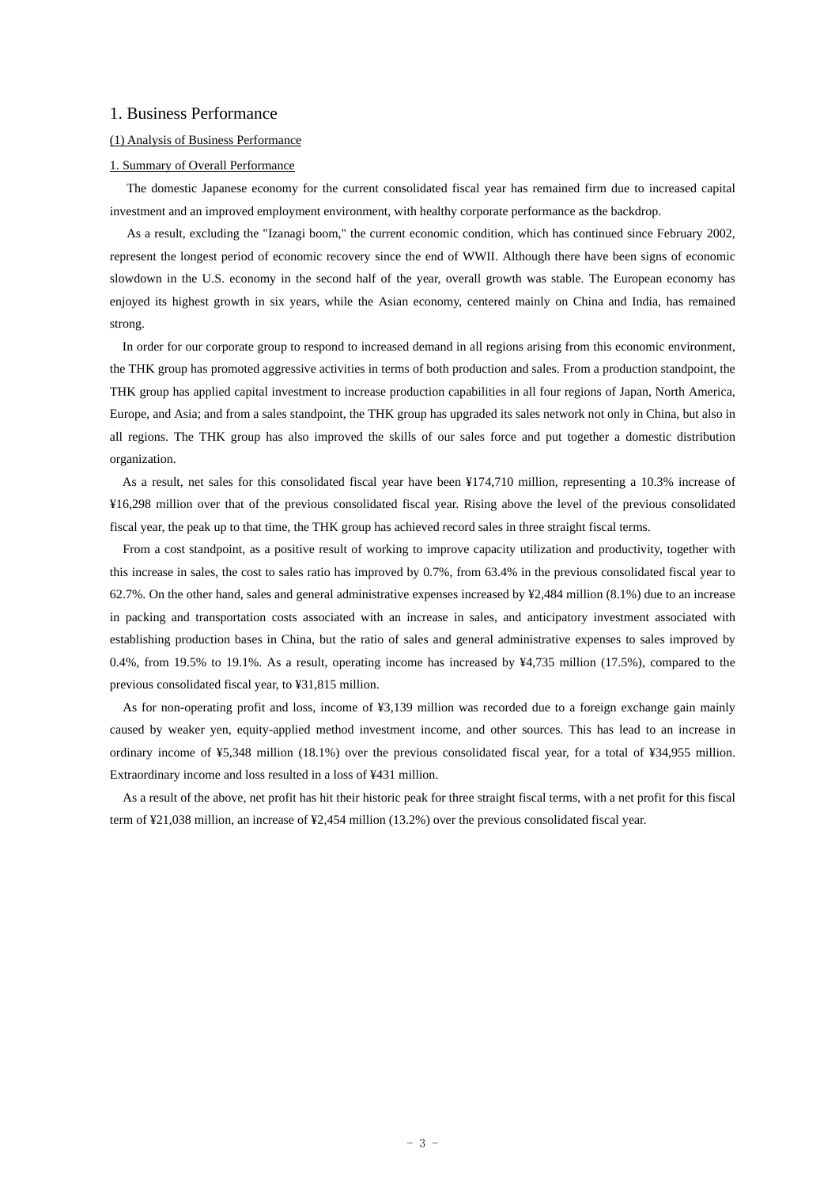### 1. Business Performance

### (1) Analysis of Business Performance

### 1. Summary of Overall Performance

The domestic Japanese economy for the current consolidated fiscal year has remained firm due to increased capital investment and an improved employment environment, with healthy corporate performance as the backdrop.

As a result, excluding the "Izanagi boom," the current economic condition, which has continued since February 2002, represent the longest period of economic recovery since the end of WWII. Although there have been signs of economic slowdown in the U.S. economy in the second half of the year, overall growth was stable. The European economy has enjoyed its highest growth in six years, while the Asian economy, centered mainly on China and India, has remained strong.

In order for our corporate group to respond to increased demand in all regions arising from this economic environment, the THK group has promoted aggressive activities in terms of both production and sales. From a production standpoint, the THK group has applied capital investment to increase production capabilities in all four regions of Japan, North America, Europe, and Asia; and from a sales standpoint, the THK group has upgraded its sales network not only in China, but also in all regions. The THK group has also improved the skills of our sales force and put together a domestic distribution organization.

As a result, net sales for this consolidated fiscal year have been ¥174,710 million, representing a 10.3% increase of ¥16,298 million over that of the previous consolidated fiscal year. Rising above the level of the previous consolidated fiscal year, the peak up to that time, the THK group has achieved record sales in three straight fiscal terms.

From a cost standpoint, as a positive result of working to improve capacity utilization and productivity, together with this increase in sales, the cost to sales ratio has improved by 0.7%, from 63.4% in the previous consolidated fiscal year to 62.7%. On the other hand, sales and general administrative expenses increased by ¥2,484 million (8.1%) due to an increase in packing and transportation costs associated with an increase in sales, and anticipatory investment associated with establishing production bases in China, but the ratio of sales and general administrative expenses to sales improved by 0.4%, from 19.5% to 19.1%. As a result, operating income has increased by ¥4,735 million (17.5%), compared to the previous consolidated fiscal year, to ¥31,815 million.

As for non-operating profit and loss, income of ¥3,139 million was recorded due to a foreign exchange gain mainly caused by weaker yen, equity-applied method investment income, and other sources. This has lead to an increase in ordinary income of ¥5,348 million (18.1%) over the previous consolidated fiscal year, for a total of ¥34,955 million. Extraordinary income and loss resulted in a loss of ¥431 million.

As a result of the above, net profit has hit their historic peak for three straight fiscal terms, with a net profit for this fiscal term of ¥21,038 million, an increase of ¥2,454 million (13.2%) over the previous consolidated fiscal year.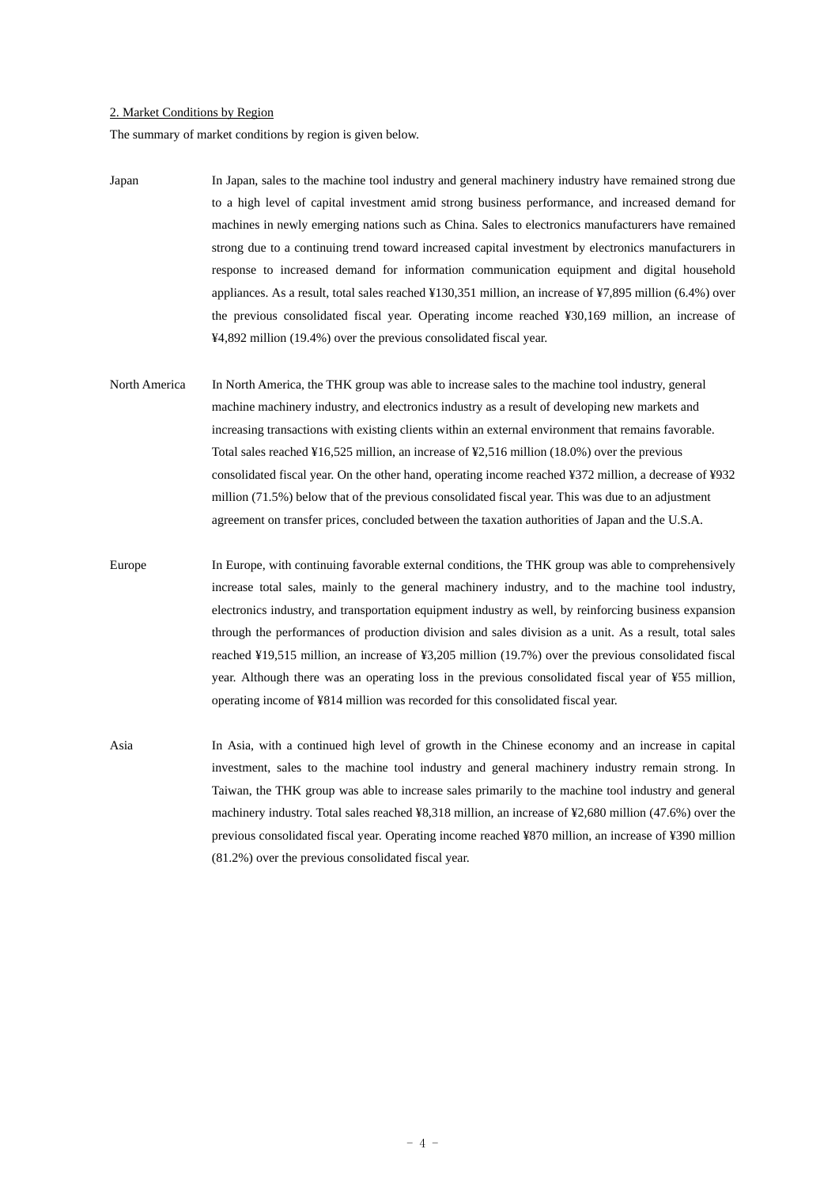### 2. Market Conditions by Region

The summary of market conditions by region is given below.

- Japan In Japan, sales to the machine tool industry and general machinery industry have remained strong due to a high level of capital investment amid strong business performance, and increased demand for machines in newly emerging nations such as China. Sales to electronics manufacturers have remained strong due to a continuing trend toward increased capital investment by electronics manufacturers in response to increased demand for information communication equipment and digital household appliances. As a result, total sales reached ¥130,351 million, an increase of ¥7,895 million (6.4%) over the previous consolidated fiscal year. Operating income reached ¥30,169 million, an increase of ¥4,892 million (19.4%) over the previous consolidated fiscal year.
- North America In North America, the THK group was able to increase sales to the machine tool industry, general machine machinery industry, and electronics industry as a result of developing new markets and increasing transactions with existing clients within an external environment that remains favorable. Total sales reached ¥16,525 million, an increase of ¥2,516 million (18.0%) over the previous consolidated fiscal year. On the other hand, operating income reached ¥372 million, a decrease of ¥932 million (71.5%) below that of the previous consolidated fiscal year. This was due to an adjustment agreement on transfer prices, concluded between the taxation authorities of Japan and the U.S.A.

Europe In Europe, with continuing favorable external conditions, the THK group was able to comprehensively increase total sales, mainly to the general machinery industry, and to the machine tool industry, electronics industry, and transportation equipment industry as well, by reinforcing business expansion through the performances of production division and sales division as a unit. As a result, total sales reached ¥19,515 million, an increase of ¥3,205 million (19.7%) over the previous consolidated fiscal year. Although there was an operating loss in the previous consolidated fiscal year of ¥55 million, operating income of ¥814 million was recorded for this consolidated fiscal year.

Asia In Asia, with a continued high level of growth in the Chinese economy and an increase in capital investment, sales to the machine tool industry and general machinery industry remain strong. In Taiwan, the THK group was able to increase sales primarily to the machine tool industry and general machinery industry. Total sales reached ¥8,318 million, an increase of ¥2,680 million (47.6%) over the previous consolidated fiscal year. Operating income reached ¥870 million, an increase of ¥390 million (81.2%) over the previous consolidated fiscal year.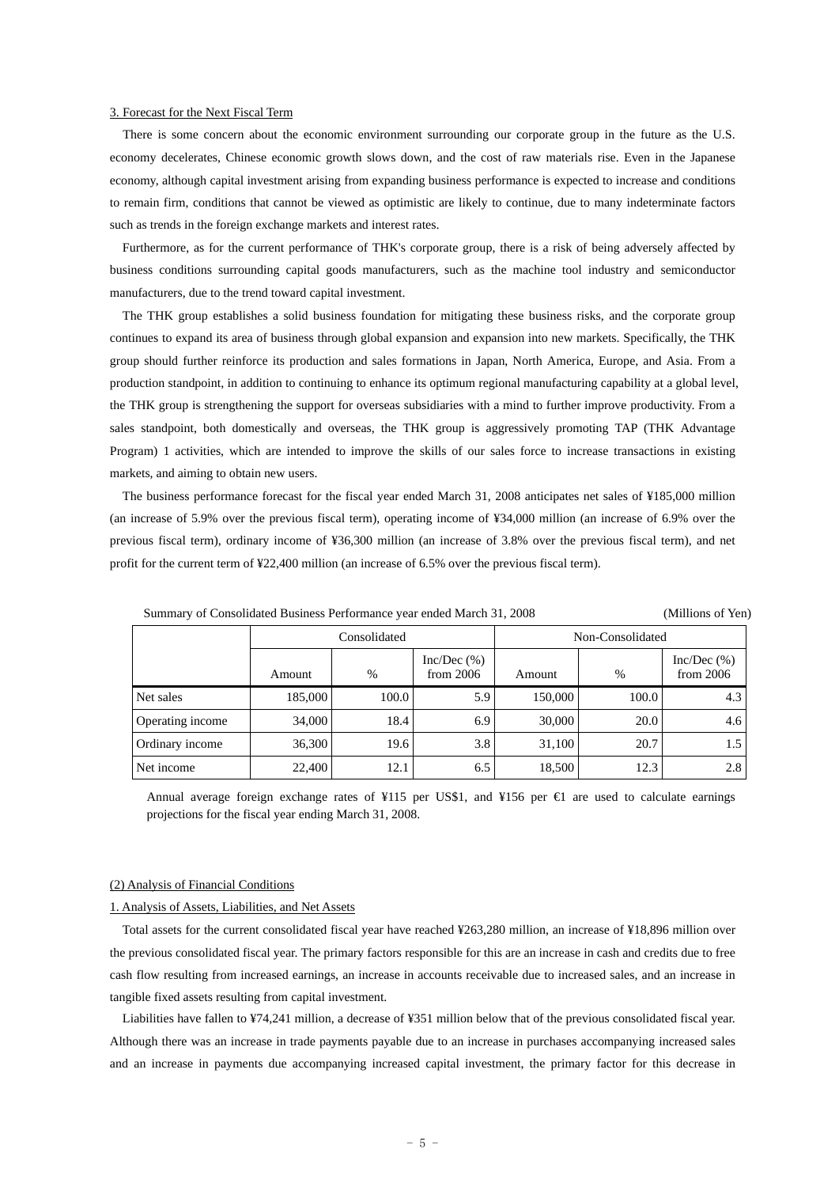#### 3. Forecast for the Next Fiscal Term

There is some concern about the economic environment surrounding our corporate group in the future as the U.S. economy decelerates, Chinese economic growth slows down, and the cost of raw materials rise. Even in the Japanese economy, although capital investment arising from expanding business performance is expected to increase and conditions to remain firm, conditions that cannot be viewed as optimistic are likely to continue, due to many indeterminate factors such as trends in the foreign exchange markets and interest rates.

Furthermore, as for the current performance of THK's corporate group, there is a risk of being adversely affected by business conditions surrounding capital goods manufacturers, such as the machine tool industry and semiconductor manufacturers, due to the trend toward capital investment.

The THK group establishes a solid business foundation for mitigating these business risks, and the corporate group continues to expand its area of business through global expansion and expansion into new markets. Specifically, the THK group should further reinforce its production and sales formations in Japan, North America, Europe, and Asia. From a production standpoint, in addition to continuing to enhance its optimum regional manufacturing capability at a global level, the THK group is strengthening the support for overseas subsidiaries with a mind to further improve productivity. From a sales standpoint, both domestically and overseas, the THK group is aggressively promoting TAP (THK Advantage Program) 1 activities, which are intended to improve the skills of our sales force to increase transactions in existing markets, and aiming to obtain new users.

The business performance forecast for the fiscal year ended March 31, 2008 anticipates net sales of ¥185,000 million (an increase of 5.9% over the previous fiscal term), operating income of ¥34,000 million (an increase of 6.9% over the previous fiscal term), ordinary income of ¥36,300 million (an increase of 3.8% over the previous fiscal term), and net profit for the current term of ¥22,400 million (an increase of 6.5% over the previous fiscal term).

|                  |         | Consolidated |                           |         | Non-Consolidated |                         |  |  |  |  |  |
|------------------|---------|--------------|---------------------------|---------|------------------|-------------------------|--|--|--|--|--|
|                  | Amount  | $\%$         | Inc/Dec(%)<br>from $2006$ | Amount  | $\%$             | Inc/Dec(%)<br>from 2006 |  |  |  |  |  |
| Net sales        | 185,000 | 100.0        | 5.9                       | 150,000 | 100.0            | 4.3                     |  |  |  |  |  |
| Operating income | 34,000  | 18.4         | 6.9                       | 30,000  | 20.0             | 4.6                     |  |  |  |  |  |
| Ordinary income  | 36,300  | 19.6         | 3.8                       | 31,100  | 20.7             | 1.5                     |  |  |  |  |  |
| Net income       | 22,400  | 12.1         | 6.5                       | 18,500  | 12.3             | 2.8                     |  |  |  |  |  |

Summary of Consolidated Business Performance year ended March 31, 2008 (Millions of Yen)

Annual average foreign exchange rates of ¥115 per US\$1, and ¥156 per  $\epsilon$  are used to calculate earnings projections for the fiscal year ending March 31, 2008.

### (2) Analysis of Financial Conditions

### 1. Analysis of Assets, Liabilities, and Net Assets

Total assets for the current consolidated fiscal year have reached ¥263,280 million, an increase of ¥18,896 million over the previous consolidated fiscal year. The primary factors responsible for this are an increase in cash and credits due to free cash flow resulting from increased earnings, an increase in accounts receivable due to increased sales, and an increase in tangible fixed assets resulting from capital investment.

Liabilities have fallen to ¥74,241 million, a decrease of ¥351 million below that of the previous consolidated fiscal year. Although there was an increase in trade payments payable due to an increase in purchases accompanying increased sales and an increase in payments due accompanying increased capital investment, the primary factor for this decrease in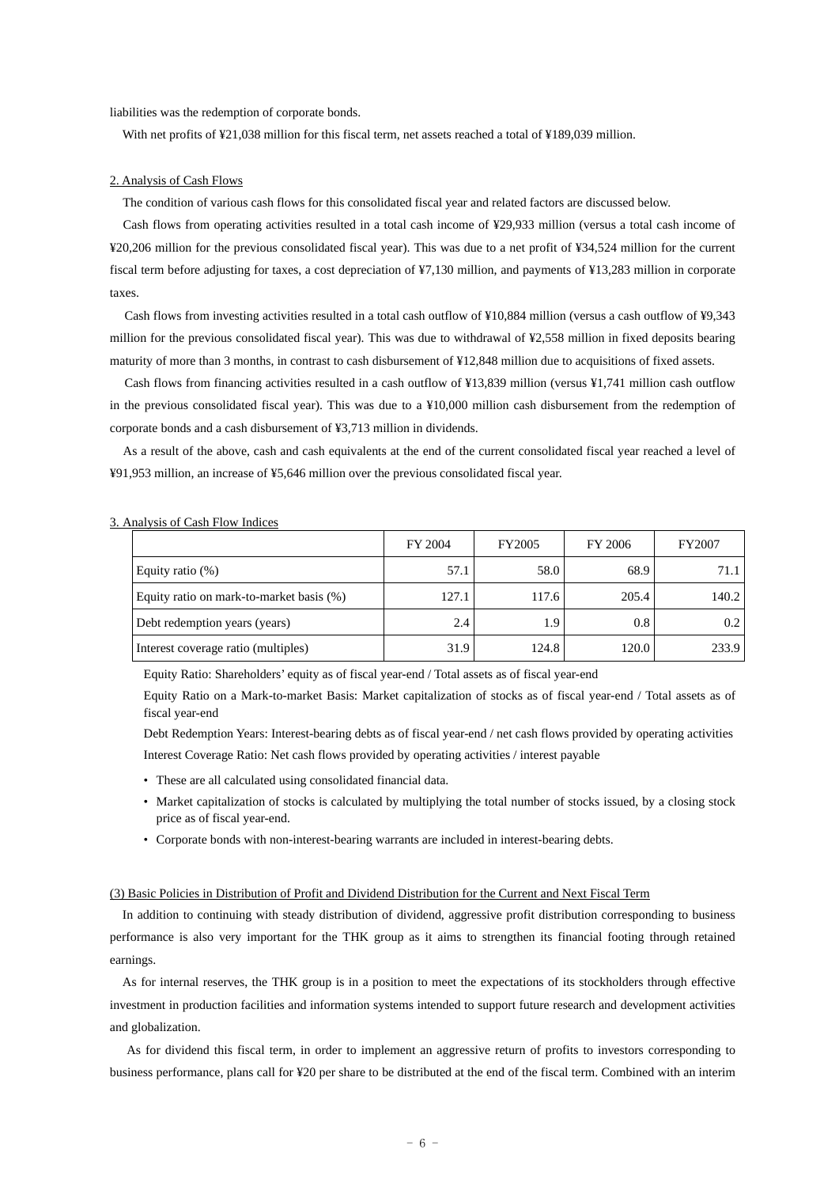liabilities was the redemption of corporate bonds.

With net profits of ¥21,038 million for this fiscal term, net assets reached a total of ¥189,039 million.

### 2. Analysis of Cash Flows

The condition of various cash flows for this consolidated fiscal year and related factors are discussed below.

Cash flows from operating activities resulted in a total cash income of ¥29,933 million (versus a total cash income of ¥20,206 million for the previous consolidated fiscal year). This was due to a net profit of ¥34,524 million for the current fiscal term before adjusting for taxes, a cost depreciation of ¥7,130 million, and payments of ¥13,283 million in corporate taxes.

Cash flows from investing activities resulted in a total cash outflow of ¥10,884 million (versus a cash outflow of ¥9,343 million for the previous consolidated fiscal year). This was due to withdrawal of ¥2,558 million in fixed deposits bearing maturity of more than 3 months, in contrast to cash disbursement of ¥12,848 million due to acquisitions of fixed assets.

Cash flows from financing activities resulted in a cash outflow of ¥13,839 million (versus ¥1,741 million cash outflow in the previous consolidated fiscal year). This was due to a ¥10,000 million cash disbursement from the redemption of corporate bonds and a cash disbursement of ¥3,713 million in dividends.

As a result of the above, cash and cash equivalents at the end of the current consolidated fiscal year reached a level of ¥91,953 million, an increase of ¥5,646 million over the previous consolidated fiscal year.

|                                          | FY 2004 | FY2005 | FY 2006 | FY2007 |
|------------------------------------------|---------|--------|---------|--------|
| Equity ratio $(\%)$                      | 57.1    | 58.0   | 68.9    | 71.1   |
| Equity ratio on mark-to-market basis (%) | 127.1   | 117.6  | 205.4   | 140.2  |
| Debt redemption years (years)            | 2.4     | 1.9    | 0.8     | 0.2    |
| Interest coverage ratio (multiples)      | 31.9    | 124.8  | 120.0   | 233.9  |

#### 3. Analysis of Cash Flow Indices

Equity Ratio: Shareholders' equity as of fiscal year-end / Total assets as of fiscal year-end

Equity Ratio on a Mark-to-market Basis: Market capitalization of stocks as of fiscal year-end / Total assets as of fiscal year-end

Debt Redemption Years: Interest-bearing debts as of fiscal year-end / net cash flows provided by operating activities Interest Coverage Ratio: Net cash flows provided by operating activities / interest payable

- These are all calculated using consolidated financial data.
- Market capitalization of stocks is calculated by multiplying the total number of stocks issued, by a closing stock price as of fiscal year-end.
- Corporate bonds with non-interest-bearing warrants are included in interest-bearing debts.

#### (3) Basic Policies in Distribution of Profit and Dividend Distribution for the Current and Next Fiscal Term

In addition to continuing with steady distribution of dividend, aggressive profit distribution corresponding to business performance is also very important for the THK group as it aims to strengthen its financial footing through retained earnings.

As for internal reserves, the THK group is in a position to meet the expectations of its stockholders through effective investment in production facilities and information systems intended to support future research and development activities and globalization.

As for dividend this fiscal term, in order to implement an aggressive return of profits to investors corresponding to business performance, plans call for ¥20 per share to be distributed at the end of the fiscal term. Combined with an interim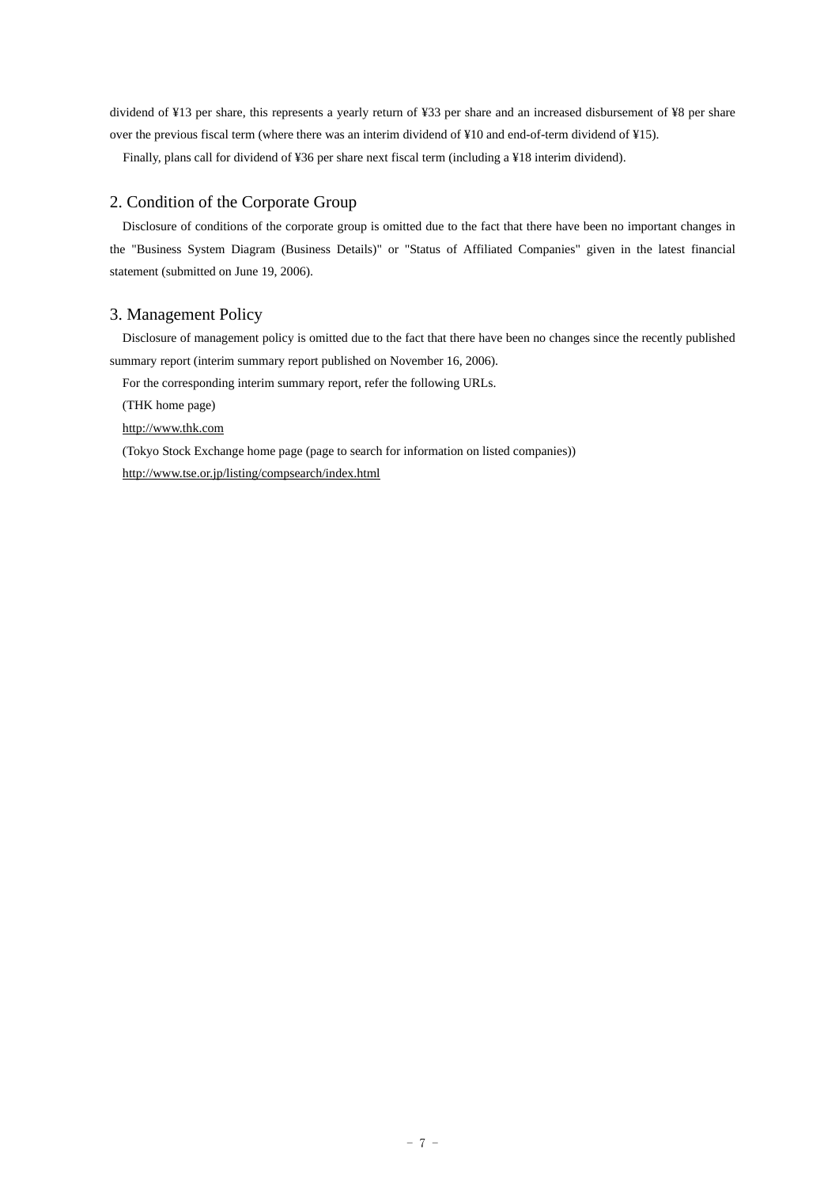dividend of ¥13 per share, this represents a yearly return of ¥33 per share and an increased disbursement of ¥8 per share over the previous fiscal term (where there was an interim dividend of ¥10 and end-of-term dividend of ¥15).

Finally, plans call for dividend of ¥36 per share next fiscal term (including a ¥18 interim dividend).

### 2. Condition of the Corporate Group

Disclosure of conditions of the corporate group is omitted due to the fact that there have been no important changes in the "Business System Diagram (Business Details)" or "Status of Affiliated Companies" given in the latest financial statement (submitted on June 19, 2006).

### 3. Management Policy

Disclosure of management policy is omitted due to the fact that there have been no changes since the recently published summary report (interim summary report published on November 16, 2006).

For the corresponding interim summary report, refer the following URLs.

(THK home page)

http://www.thk.com

(Tokyo Stock Exchange home page (page to search for information on listed companies)) http://www.tse.or.jp/listing/compsearch/index.html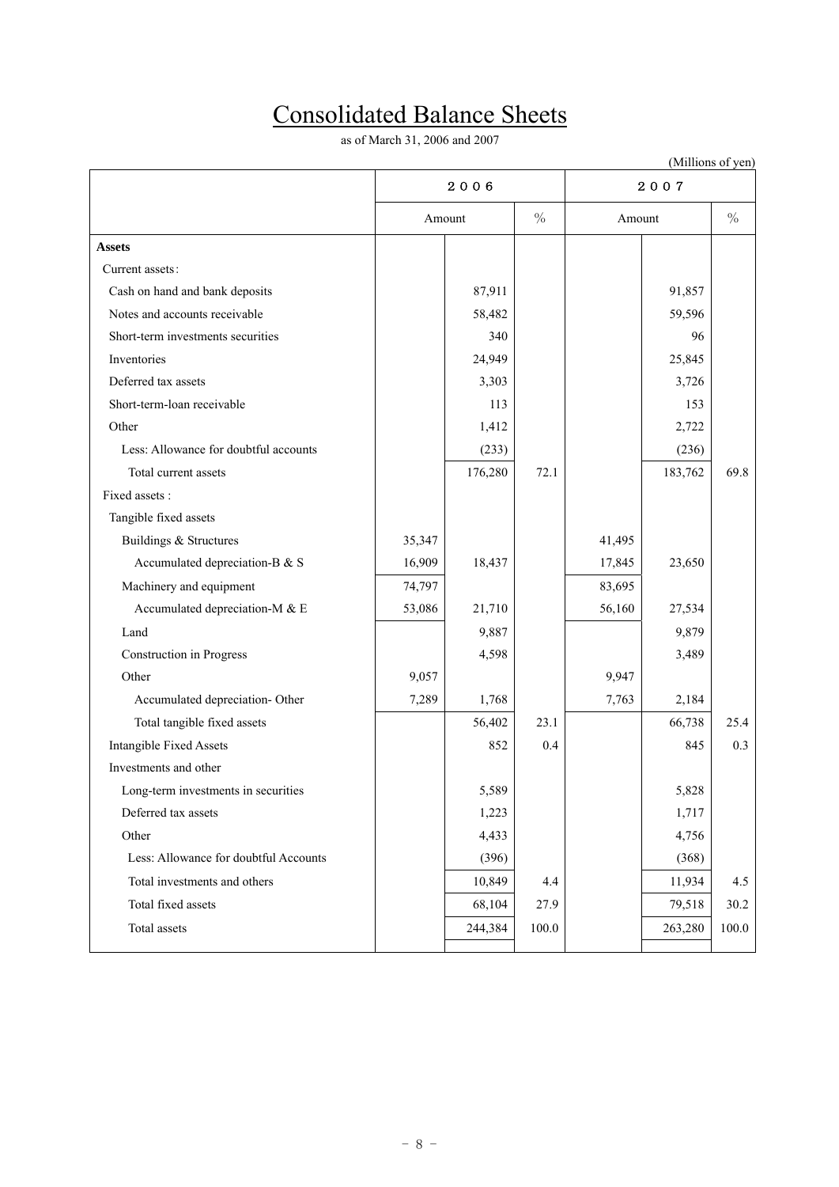# Consolidated Balance Sheets

as of March 31, 2006 and 2007

| (Millions of yen)                     |                         |         |        |        |               |       |  |  |
|---------------------------------------|-------------------------|---------|--------|--------|---------------|-------|--|--|
|                                       |                         | 2006    |        | 2007   |               |       |  |  |
|                                       | $\frac{0}{0}$<br>Amount |         | Amount |        | $\frac{0}{0}$ |       |  |  |
| <b>Assets</b>                         |                         |         |        |        |               |       |  |  |
| Current assets:                       |                         |         |        |        |               |       |  |  |
| Cash on hand and bank deposits        |                         | 87,911  |        |        | 91,857        |       |  |  |
| Notes and accounts receivable         |                         | 58,482  |        |        | 59,596        |       |  |  |
| Short-term investments securities     |                         | 340     |        |        | 96            |       |  |  |
| Inventories                           |                         | 24,949  |        |        | 25,845        |       |  |  |
| Deferred tax assets                   |                         | 3,303   |        |        | 3,726         |       |  |  |
| Short-term-loan receivable            |                         | 113     |        |        | 153           |       |  |  |
| Other                                 |                         | 1,412   |        |        | 2,722         |       |  |  |
| Less: Allowance for doubtful accounts |                         | (233)   |        |        | (236)         |       |  |  |
| Total current assets                  |                         | 176,280 | 72.1   |        | 183,762       | 69.8  |  |  |
| Fixed assets :                        |                         |         |        |        |               |       |  |  |
| Tangible fixed assets                 |                         |         |        |        |               |       |  |  |
| Buildings & Structures                | 35,347                  |         |        | 41,495 |               |       |  |  |
| Accumulated depreciation-B & S        | 16,909                  | 18,437  |        | 17,845 | 23,650        |       |  |  |
| Machinery and equipment               | 74,797                  |         |        | 83,695 |               |       |  |  |
| Accumulated depreciation-M & E        | 53,086                  | 21,710  |        | 56,160 | 27,534        |       |  |  |
| Land                                  |                         | 9,887   |        |        | 9,879         |       |  |  |
| <b>Construction</b> in Progress       |                         | 4,598   |        |        | 3,489         |       |  |  |
| Other                                 | 9,057                   |         |        | 9,947  |               |       |  |  |
| Accumulated depreciation- Other       | 7,289                   | 1,768   |        | 7,763  | 2,184         |       |  |  |
| Total tangible fixed assets           |                         | 56,402  | 23.1   |        | 66,738        | 25.4  |  |  |
| <b>Intangible Fixed Assets</b>        |                         | 852     | 0.4    |        | 845           | 0.3   |  |  |
| Investments and other                 |                         |         |        |        |               |       |  |  |
| Long-term investments in securities   |                         | 5,589   |        |        | 5,828         |       |  |  |
| Deferred tax assets                   |                         | 1,223   |        |        | 1,717         |       |  |  |
| Other                                 |                         | 4,433   |        |        | 4,756         |       |  |  |
| Less: Allowance for doubtful Accounts |                         | (396)   |        |        | (368)         |       |  |  |
| Total investments and others          |                         | 10,849  | 4.4    |        | 11,934        | 4.5   |  |  |
| Total fixed assets                    |                         | 68,104  | 27.9   |        | 79,518        | 30.2  |  |  |
| Total assets                          |                         | 244,384 | 100.0  |        | 263,280       | 100.0 |  |  |
|                                       |                         |         |        |        |               |       |  |  |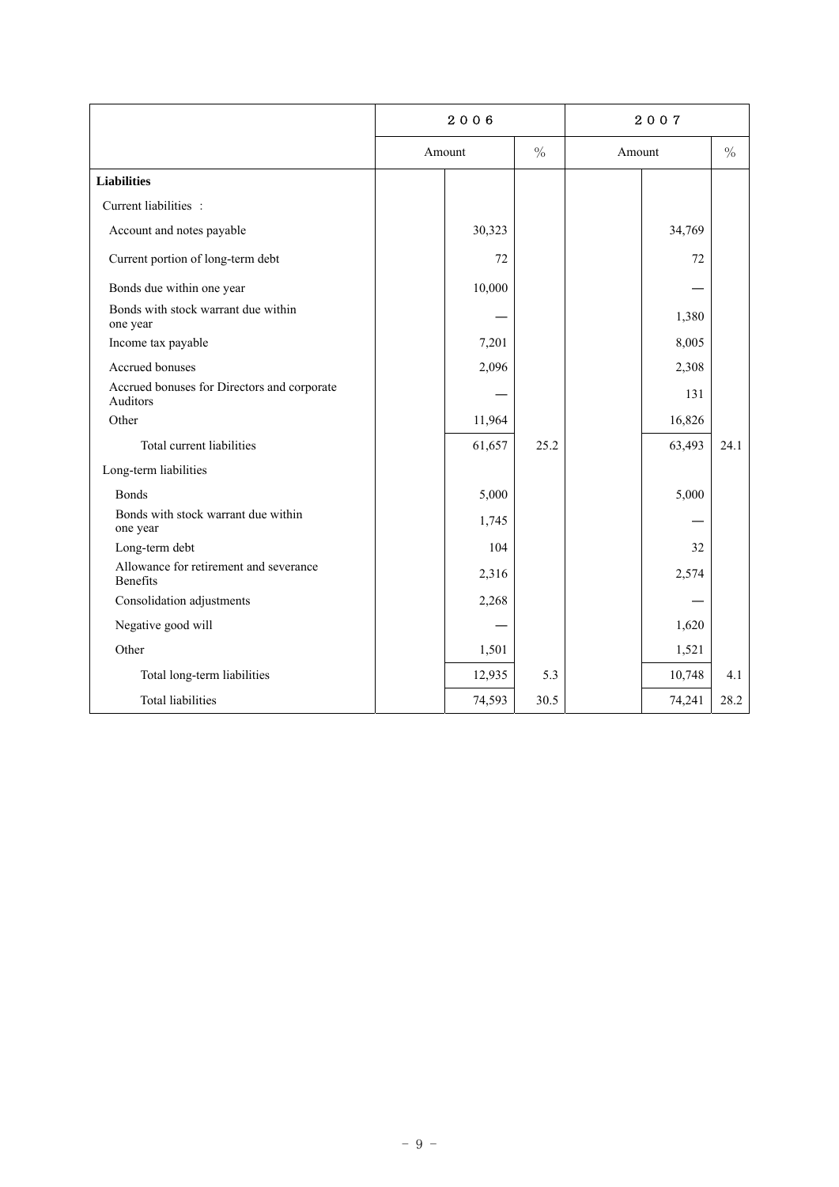|                                                         | 2006 |        |      | 2007   |        |               |
|---------------------------------------------------------|------|--------|------|--------|--------|---------------|
|                                                         |      | Amount |      | Amount |        | $\frac{0}{0}$ |
| <b>Liabilities</b>                                      |      |        |      |        |        |               |
| Current liabilities :                                   |      |        |      |        |        |               |
| Account and notes payable                               |      | 30,323 |      |        | 34,769 |               |
| Current portion of long-term debt                       |      | 72     |      |        | 72     |               |
| Bonds due within one year                               |      | 10,000 |      |        |        |               |
| Bonds with stock warrant due within<br>one year         |      |        |      |        | 1,380  |               |
| Income tax payable                                      |      | 7,201  |      |        | 8,005  |               |
| Accrued bonuses                                         |      | 2,096  |      |        | 2,308  |               |
| Accrued bonuses for Directors and corporate<br>Auditors |      |        |      |        | 131    |               |
| Other                                                   |      | 11,964 |      |        | 16,826 |               |
| Total current liabilities                               |      | 61,657 | 25.2 |        | 63,493 | 24.1          |
| Long-term liabilities                                   |      |        |      |        |        |               |
| <b>Bonds</b>                                            |      | 5,000  |      |        | 5,000  |               |
| Bonds with stock warrant due within<br>one year         |      | 1,745  |      |        |        |               |
| Long-term debt                                          |      | 104    |      |        | 32     |               |
| Allowance for retirement and severance<br>Benefits      |      | 2,316  |      |        | 2,574  |               |
| Consolidation adjustments                               |      | 2,268  |      |        |        |               |
| Negative good will                                      |      |        |      |        | 1,620  |               |
| Other                                                   |      | 1,501  |      |        | 1,521  |               |
| Total long-term liabilities                             |      | 12,935 | 5.3  |        | 10,748 | 4.1           |
| <b>Total liabilities</b>                                |      | 74,593 | 30.5 |        | 74,241 | 28.2          |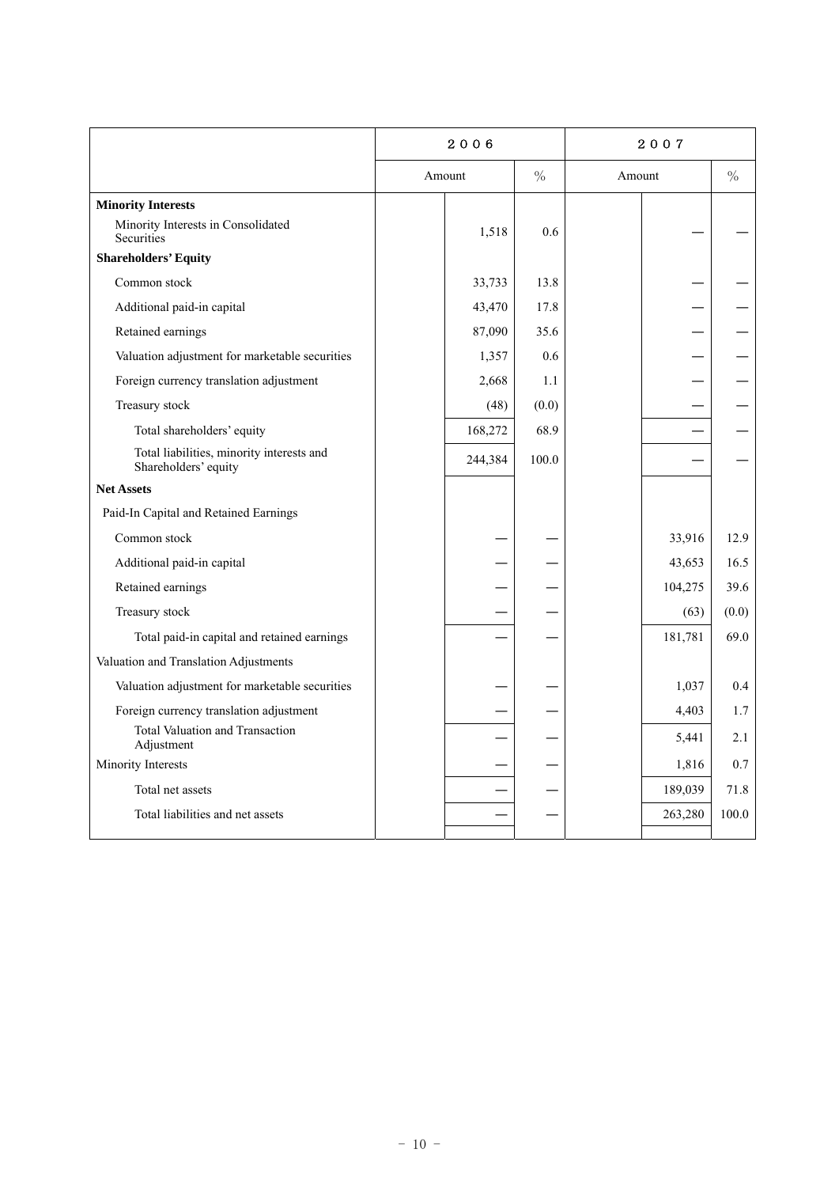|                                                                   | 2006    |       | 2007   |         |               |
|-------------------------------------------------------------------|---------|-------|--------|---------|---------------|
|                                                                   | Amount  | $\%$  | Amount |         | $\frac{0}{0}$ |
| <b>Minority Interests</b>                                         |         |       |        |         |               |
| Minority Interests in Consolidated<br><b>Securities</b>           | 1,518   | 0.6   |        |         |               |
| <b>Shareholders' Equity</b>                                       |         |       |        |         |               |
| Common stock                                                      | 33,733  | 13.8  |        |         |               |
| Additional paid-in capital                                        | 43,470  | 17.8  |        |         |               |
| Retained earnings                                                 | 87,090  | 35.6  |        |         |               |
| Valuation adjustment for marketable securities                    | 1,357   | 0.6   |        |         |               |
| Foreign currency translation adjustment                           | 2,668   | 1.1   |        |         |               |
| Treasury stock                                                    | (48)    | (0.0) |        |         |               |
| Total shareholders' equity                                        | 168,272 | 68.9  |        |         |               |
| Total liabilities, minority interests and<br>Shareholders' equity | 244,384 | 100.0 |        |         |               |
| <b>Net Assets</b>                                                 |         |       |        |         |               |
| Paid-In Capital and Retained Earnings                             |         |       |        |         |               |
| Common stock                                                      |         |       |        | 33,916  | 12.9          |
| Additional paid-in capital                                        |         |       |        | 43,653  | 16.5          |
| Retained earnings                                                 |         |       |        | 104,275 | 39.6          |
| Treasury stock                                                    |         |       |        | (63)    | (0.0)         |
| Total paid-in capital and retained earnings                       |         |       |        | 181,781 | 69.0          |
| Valuation and Translation Adjustments                             |         |       |        |         |               |
| Valuation adjustment for marketable securities                    |         |       |        | 1,037   | 0.4           |
| Foreign currency translation adjustment                           |         |       |        | 4,403   | 1.7           |
| Total Valuation and Transaction<br>Adjustment                     |         |       |        | 5,441   | 2.1           |
| Minority Interests                                                |         |       |        | 1,816   | 0.7           |
| Total net assets                                                  |         |       |        | 189,039 | 71.8          |
| Total liabilities and net assets                                  |         |       |        | 263,280 | 100.0         |
|                                                                   |         |       |        |         |               |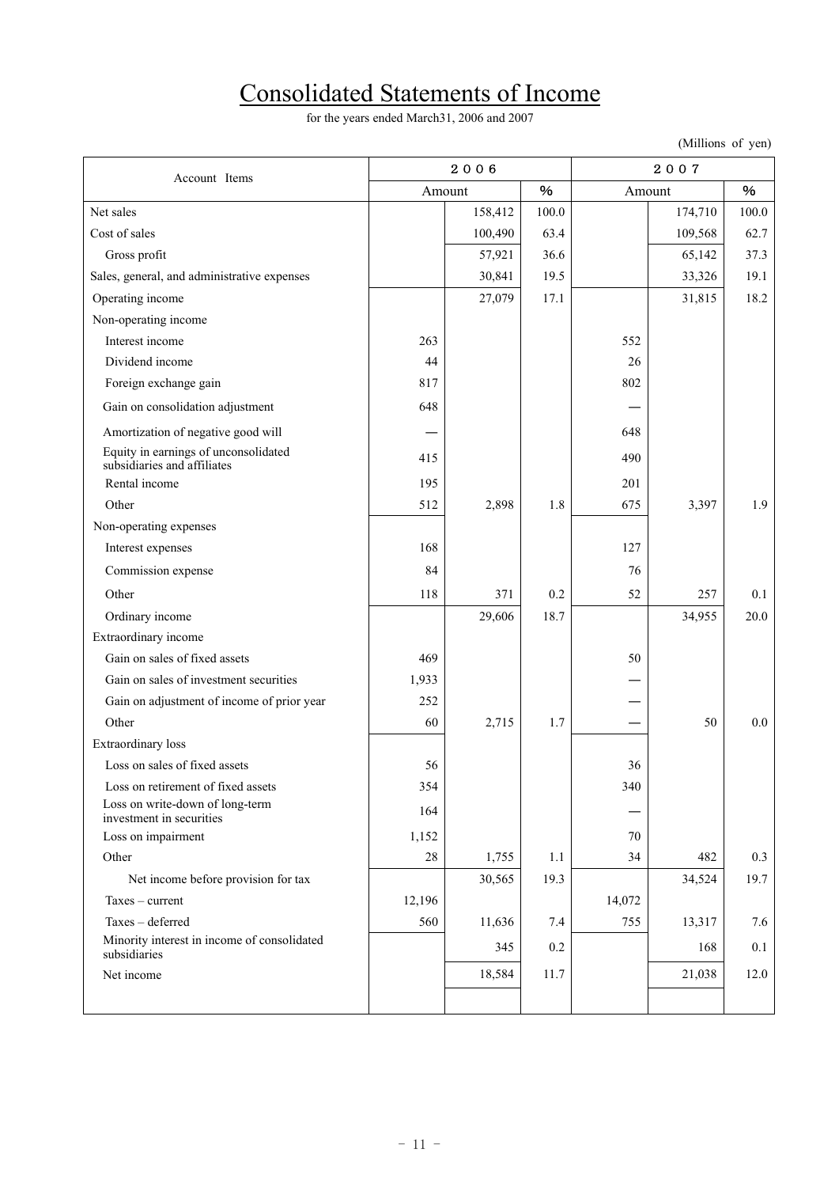# Consolidated Statements of Income

for the years ended March31, 2006 and 2007

(Millions of yen)

| Account Items                                                       | 2006   |         |       |        |         |       |
|---------------------------------------------------------------------|--------|---------|-------|--------|---------|-------|
|                                                                     |        | Amount  | $\%$  | Amount |         | %     |
| Net sales                                                           |        | 158,412 | 100.0 |        | 174,710 | 100.0 |
| Cost of sales                                                       |        | 100,490 | 63.4  |        | 109,568 | 62.7  |
| Gross profit                                                        |        | 57,921  | 36.6  |        | 65,142  | 37.3  |
| Sales, general, and administrative expenses                         |        | 30,841  | 19.5  |        | 33,326  | 19.1  |
| Operating income                                                    |        | 27,079  | 17.1  |        | 31,815  | 18.2  |
| Non-operating income                                                |        |         |       |        |         |       |
| Interest income                                                     | 263    |         |       | 552    |         |       |
| Dividend income                                                     | 44     |         |       | 26     |         |       |
| Foreign exchange gain                                               | 817    |         |       | 802    |         |       |
| Gain on consolidation adjustment                                    | 648    |         |       |        |         |       |
| Amortization of negative good will                                  |        |         |       | 648    |         |       |
| Equity in earnings of unconsolidated<br>subsidiaries and affiliates | 415    |         |       | 490    |         |       |
| Rental income                                                       | 195    |         |       | 201    |         |       |
| Other                                                               | 512    | 2,898   | 1.8   | 675    | 3,397   | 1.9   |
| Non-operating expenses                                              |        |         |       |        |         |       |
| Interest expenses                                                   | 168    |         |       | 127    |         |       |
| Commission expense                                                  | 84     |         |       | 76     |         |       |
| Other                                                               | 118    | 371     | 0.2   | 52     | 257     | 0.1   |
| Ordinary income                                                     |        | 29,606  | 18.7  |        | 34,955  | 20.0  |
| Extraordinary income                                                |        |         |       |        |         |       |
| Gain on sales of fixed assets                                       | 469    |         |       | 50     |         |       |
| Gain on sales of investment securities                              | 1,933  |         |       |        |         |       |
| Gain on adjustment of income of prior year                          | 252    |         |       |        |         |       |
| Other                                                               | 60     | 2,715   | 1.7   |        | 50      | 0.0   |
| Extraordinary loss                                                  |        |         |       |        |         |       |
| Loss on sales of fixed assets                                       | 56     |         |       | 36     |         |       |
| Loss on retirement of fixed assets                                  | 354    |         |       | 340    |         |       |
| Loss on write-down of long-term<br>investment in securities         | 164    |         |       |        |         |       |
| Loss on impairment                                                  | 1,152  |         |       | 70     |         |       |
| Other                                                               | 28     | 1,755   | 1.1   | 34     | 482     | 0.3   |
| Net income before provision for tax                                 |        | 30,565  | 19.3  |        | 34,524  | 19.7  |
| $Taxes - current$                                                   | 12,196 |         |       | 14,072 |         |       |
| Taxes - deferred                                                    | 560    | 11,636  | 7.4   | 755    | 13,317  | 7.6   |
| Minority interest in income of consolidated<br>subsidiaries         |        | 345     | 0.2   |        | 168     | 0.1   |
| Net income                                                          |        | 18,584  | 11.7  |        | 21,038  | 12.0  |
|                                                                     |        |         |       |        |         |       |
|                                                                     |        |         |       |        |         |       |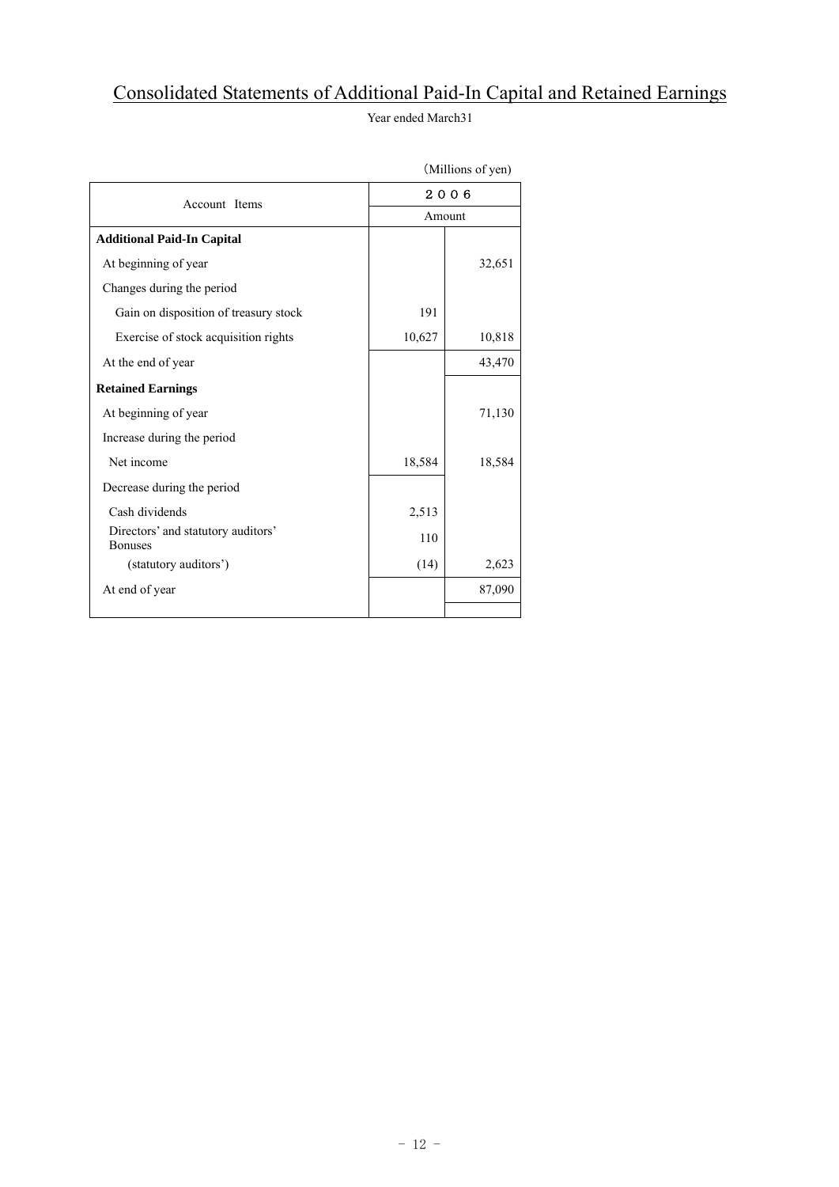### Consolidated Statements of Additional Paid-In Capital and Retained Earnings

Year ended March31

|                                                      |        | 1.11110110011 |  |  |  |
|------------------------------------------------------|--------|---------------|--|--|--|
| Account Items                                        |        | 2006          |  |  |  |
|                                                      | Amount |               |  |  |  |
| <b>Additional Paid-In Capital</b>                    |        |               |  |  |  |
| At beginning of year                                 |        | 32,651        |  |  |  |
| Changes during the period                            |        |               |  |  |  |
| Gain on disposition of treasury stock                | 191    |               |  |  |  |
| Exercise of stock acquisition rights                 | 10,627 | 10,818        |  |  |  |
| At the end of year                                   |        | 43,470        |  |  |  |
| <b>Retained Earnings</b>                             |        |               |  |  |  |
| At beginning of year                                 |        | 71,130        |  |  |  |
| Increase during the period                           |        |               |  |  |  |
| Net income                                           | 18,584 | 18,584        |  |  |  |
| Decrease during the period                           |        |               |  |  |  |
| Cash dividends                                       | 2,513  |               |  |  |  |
| Directors' and statutory auditors'<br><b>Bonuses</b> | 110    |               |  |  |  |
| (statutory auditors')                                | (14)   | 2,623         |  |  |  |
| At end of year                                       |        | 87,090        |  |  |  |
|                                                      |        |               |  |  |  |

(Millions of yen)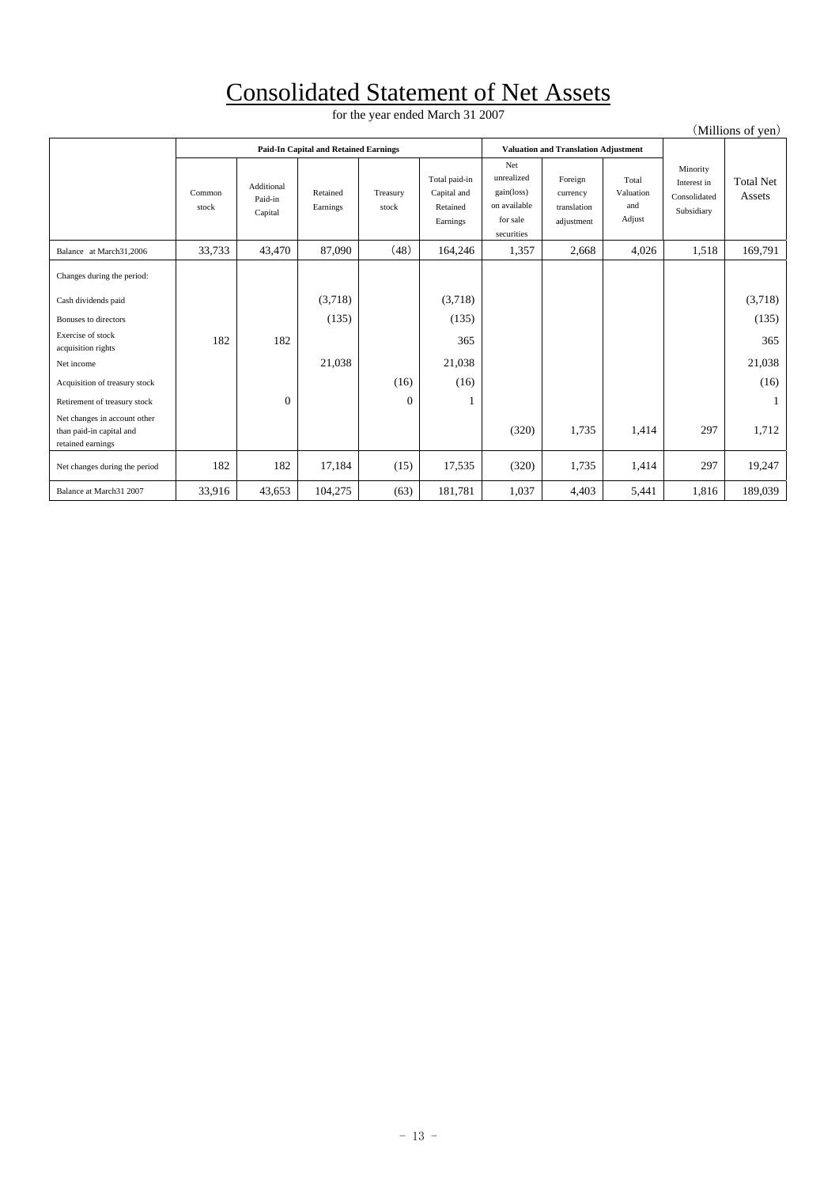## Consolidated Statement of Net Assets

for the year ended March 31 2007

| (Millions of yen)                                                             |                 |                                  |                                              |                   |                                                      |                                                                           |                                                  |                                     |                                                       |                            |
|-------------------------------------------------------------------------------|-----------------|----------------------------------|----------------------------------------------|-------------------|------------------------------------------------------|---------------------------------------------------------------------------|--------------------------------------------------|-------------------------------------|-------------------------------------------------------|----------------------------|
|                                                                               |                 |                                  | <b>Paid-In Capital and Retained Earnings</b> |                   |                                                      |                                                                           | <b>Valuation and Translation Adjustment</b>      |                                     |                                                       |                            |
|                                                                               | Common<br>stock | Additional<br>Paid-in<br>Capital | Retained<br>Earnings                         | Treasury<br>stock | Total paid-in<br>Capital and<br>Retained<br>Earnings | Net<br>unrealized<br>gain(loss)<br>on available<br>for sale<br>securities | Foreign<br>currency<br>translation<br>adjustment | Total<br>Valuation<br>and<br>Adjust | Minority<br>Interest in<br>Consolidated<br>Subsidiary | <b>Total Net</b><br>Assets |
| Balance at March31,2006                                                       | 33,733          | 43,470                           | 87,090                                       | (48)              | 164,246                                              | 1,357                                                                     | 2,668                                            | 4,026                               | 1,518                                                 | 169,791                    |
| Changes during the period:                                                    |                 |                                  |                                              |                   |                                                      |                                                                           |                                                  |                                     |                                                       |                            |
| Cash dividends paid                                                           |                 |                                  | (3,718)                                      |                   | (3,718)                                              |                                                                           |                                                  |                                     |                                                       | (3,718)                    |
| Bonuses to directors                                                          |                 |                                  | (135)                                        |                   | (135)                                                |                                                                           |                                                  |                                     |                                                       | (135)                      |
| Exercise of stock<br>acquisition rights                                       | 182             | 182                              |                                              |                   | 365                                                  |                                                                           |                                                  |                                     |                                                       | 365                        |
| Net income                                                                    |                 |                                  | 21,038                                       |                   | 21,038                                               |                                                                           |                                                  |                                     |                                                       | 21,038                     |
| Acquisition of treasury stock                                                 |                 |                                  |                                              | (16)              | (16)                                                 |                                                                           |                                                  |                                     |                                                       | (16)                       |
| Retirement of treasury stock                                                  |                 | $\mathbf{0}$                     |                                              | $\mathbf{0}$      |                                                      |                                                                           |                                                  |                                     |                                                       |                            |
| Net changes in account other<br>than paid-in capital and<br>retained earnings |                 |                                  |                                              |                   |                                                      | (320)                                                                     | 1,735                                            | 1,414                               | 297                                                   | 1,712                      |
| Net changes during the period                                                 | 182             | 182                              | 17,184                                       | (15)              | 17,535                                               | (320)                                                                     | 1,735                                            | 1,414                               | 297                                                   | 19,247                     |
| Balance at March31 2007                                                       | 33,916          | 43,653                           | 104,275                                      | (63)              | 181,781                                              | 1,037                                                                     | 4,403                                            | 5,441                               | 1,816                                                 | 189,039                    |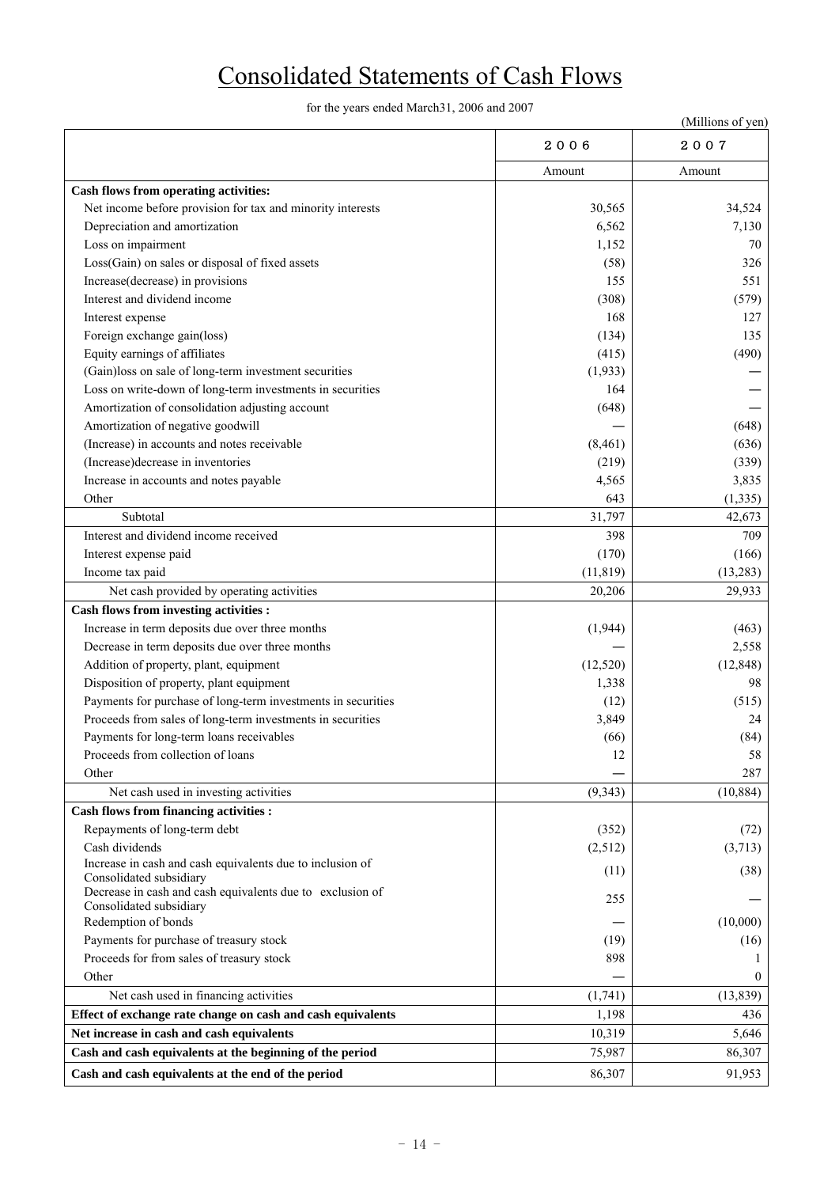# Consolidated Statements of Cash Flows

for the years ended March31, 2006 and 2007

|                                                                                      |           | (Millions of yen) |
|--------------------------------------------------------------------------------------|-----------|-------------------|
|                                                                                      | 2006      | 2007              |
|                                                                                      | Amount    | Amount            |
| Cash flows from operating activities:                                                |           |                   |
| Net income before provision for tax and minority interests                           | 30,565    | 34,524            |
| Depreciation and amortization                                                        | 6,562     | 7,130             |
| Loss on impairment                                                                   | 1,152     | 70                |
| Loss(Gain) on sales or disposal of fixed assets                                      | (58)      | 326               |
| Increase(decrease) in provisions                                                     | 155       | 551               |
| Interest and dividend income                                                         | (308)     | (579)             |
| Interest expense                                                                     | 168       | 127               |
| Foreign exchange gain(loss)                                                          | (134)     | 135               |
| Equity earnings of affiliates                                                        | (415)     | (490)             |
| (Gain)loss on sale of long-term investment securities                                | (1,933)   |                   |
| Loss on write-down of long-term investments in securities                            | 164       |                   |
| Amortization of consolidation adjusting account                                      | (648)     |                   |
| Amortization of negative goodwill                                                    |           | (648)             |
| (Increase) in accounts and notes receivable                                          | (8, 461)  | (636)             |
| (Increase) decrease in inventories                                                   | (219)     | (339)             |
| Increase in accounts and notes payable                                               | 4,565     | 3,835             |
| Other                                                                                | 643       | (1, 335)          |
| Subtotal                                                                             | 31,797    | 42,673            |
| Interest and dividend income received                                                | 398       | 709               |
| Interest expense paid                                                                | (170)     | (166)             |
| Income tax paid                                                                      | (11, 819) | (13, 283)         |
| Net cash provided by operating activities                                            | 20,206    | 29,933            |
| <b>Cash flows from investing activities :</b>                                        |           |                   |
| Increase in term deposits due over three months                                      | (1,944)   | (463)             |
| Decrease in term deposits due over three months                                      |           | 2,558             |
| Addition of property, plant, equipment                                               | (12, 520) | (12, 848)         |
| Disposition of property, plant equipment                                             | 1,338     | 98                |
| Payments for purchase of long-term investments in securities                         | (12)      | (515)             |
| Proceeds from sales of long-term investments in securities                           | 3,849     | 24                |
| Payments for long-term loans receivables                                             | (66)      | (84)              |
| Proceeds from collection of loans                                                    | 12        | 58                |
| Other                                                                                |           | 287               |
| Net cash used in investing activities                                                | (9, 343)  | (10, 884)         |
| <b>Cash flows from financing activities :</b>                                        |           |                   |
| Repayments of long-term debt                                                         | (352)     | (72)              |
| Cash dividends                                                                       | (2,512)   | (3,713)           |
| Increase in cash and cash equivalents due to inclusion of<br>Consolidated subsidiary | (11)      | (38)              |
| Decrease in cash and cash equivalents due to exclusion of<br>Consolidated subsidiary | 255       |                   |
| Redemption of bonds                                                                  |           | (10,000)          |
| Payments for purchase of treasury stock                                              | (19)      | (16)              |
| Proceeds for from sales of treasury stock                                            | 898       |                   |
| Other                                                                                |           | $\theta$          |
| Net cash used in financing activities                                                | (1,741)   | (13, 839)         |
| Effect of exchange rate change on cash and cash equivalents                          | 1,198     | 436               |
| Net increase in cash and cash equivalents                                            | 10,319    | 5,646             |
| Cash and cash equivalents at the beginning of the period                             | 75,987    | 86,307            |
| Cash and cash equivalents at the end of the period                                   | 86,307    | 91,953            |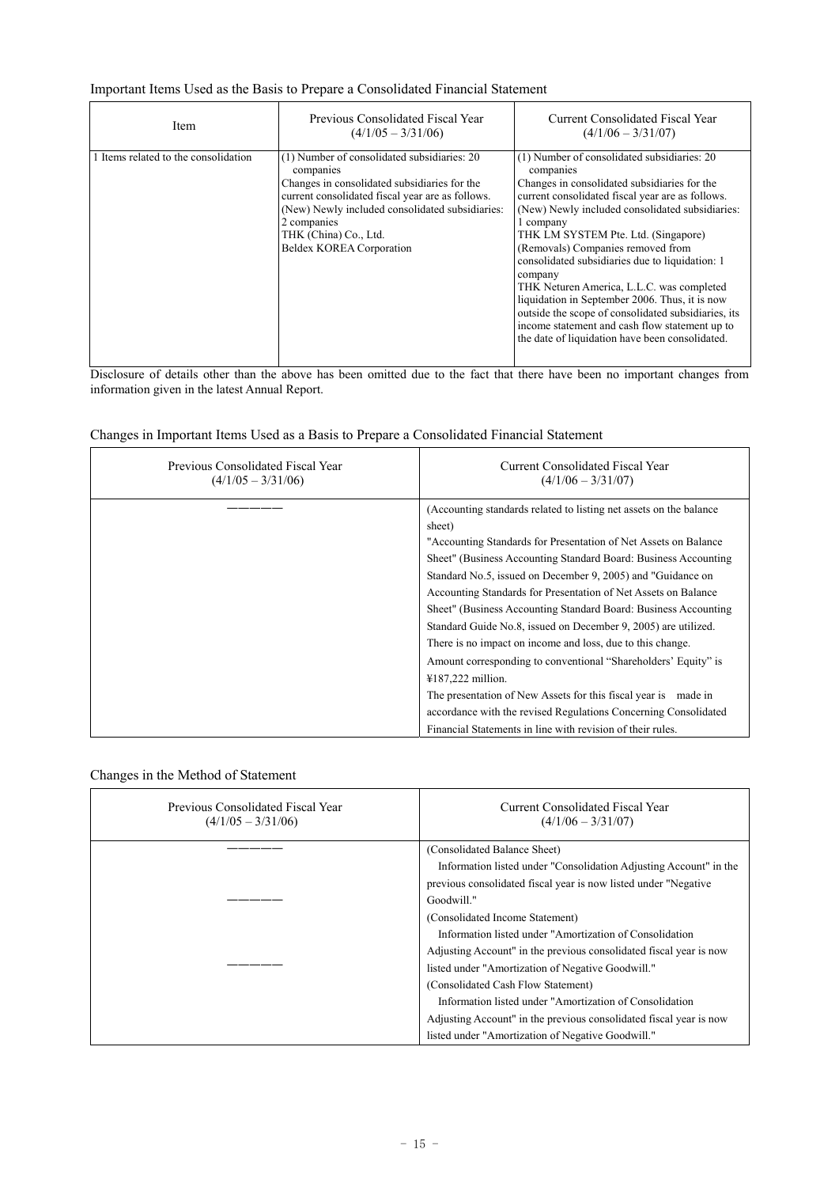### Important Items Used as the Basis to Prepare a Consolidated Financial Statement

| <b>Item</b>                          | Previous Consolidated Fiscal Year<br>$(4/1/05 - 3/31/06)$                                                                                                                                                                                                                           | Current Consolidated Fiscal Year<br>$(4/1/06 - 3/31/07)$                                                                                                                                                                                                                                                                                                                                                                                                                                                                                                                                                                          |
|--------------------------------------|-------------------------------------------------------------------------------------------------------------------------------------------------------------------------------------------------------------------------------------------------------------------------------------|-----------------------------------------------------------------------------------------------------------------------------------------------------------------------------------------------------------------------------------------------------------------------------------------------------------------------------------------------------------------------------------------------------------------------------------------------------------------------------------------------------------------------------------------------------------------------------------------------------------------------------------|
| 1 Items related to the consolidation | (1) Number of consolidated subsidiaries: 20<br>companies<br>Changes in consolidated subsidiaries for the<br>current consolidated fiscal year are as follows.<br>(New) Newly included consolidated subsidiaries:<br>2 companies<br>THK (China) Co., Ltd.<br>Beldex KOREA Corporation | (1) Number of consolidated subsidiaries: 20<br>companies<br>Changes in consolidated subsidiaries for the<br>current consolidated fiscal year are as follows.<br>(New) Newly included consolidated subsidiaries:<br>1 company<br>THK LM SYSTEM Pte. Ltd. (Singapore)<br>(Removals) Companies removed from<br>consolidated subsidiaries due to liquidation: 1<br>company<br>THK Neturen America, L.L.C. was completed<br>liquidation in September 2006. Thus, it is now<br>outside the scope of consolidated subsidiaries, its<br>income statement and cash flow statement up to<br>the date of liquidation have been consolidated. |

Disclosure of details other than the above has been omitted due to the fact that there have been no important changes from information given in the latest Annual Report.

### Changes in Important Items Used as a Basis to Prepare a Consolidated Financial Statement

| Previous Consolidated Fiscal Year<br>$(4/1/05 - 3/31/06)$ | Current Consolidated Fiscal Year<br>$(4/1/06 - 3/31/07)$            |
|-----------------------------------------------------------|---------------------------------------------------------------------|
|                                                           | (Accounting standards related to listing net assets on the balance) |
|                                                           | sheet)                                                              |
|                                                           | "Accounting Standards for Presentation of Net Assets on Balance"    |
|                                                           | Sheet" (Business Accounting Standard Board: Business Accounting     |
|                                                           | Standard No.5, issued on December 9, 2005) and "Guidance on         |
|                                                           | Accounting Standards for Presentation of Net Assets on Balance      |
|                                                           | Sheet" (Business Accounting Standard Board: Business Accounting     |
|                                                           | Standard Guide No.8, issued on December 9, 2005) are utilized.      |
|                                                           | There is no impact on income and loss, due to this change.          |
|                                                           | Amount corresponding to conventional "Shareholders' Equity" is      |
|                                                           | $4187,222$ million.                                                 |
|                                                           | The presentation of New Assets for this fiscal year is made in      |
|                                                           | accordance with the revised Regulations Concerning Consolidated     |
|                                                           | Financial Statements in line with revision of their rules.          |

Changes in the Method of Statement

| Previous Consolidated Fiscal Year<br>$(4/1/05 - 3/31/06)$ | Current Consolidated Fiscal Year<br>$(4/1/06 - 3/31/07)$           |
|-----------------------------------------------------------|--------------------------------------------------------------------|
|                                                           | (Consolidated Balance Sheet)                                       |
|                                                           | Information listed under "Consolidation Adjusting Account" in the  |
|                                                           | previous consolidated fiscal year is now listed under "Negative"   |
|                                                           | Goodwill."                                                         |
|                                                           | (Consolidated Income Statement)                                    |
|                                                           | Information listed under "Amortization of Consolidation            |
|                                                           | Adjusting Account" in the previous consolidated fiscal year is now |
|                                                           | listed under "Amortization of Negative Goodwill."                  |
|                                                           | (Consolidated Cash Flow Statement)                                 |
|                                                           | Information listed under "Amortization of Consolidation            |
|                                                           | Adjusting Account" in the previous consolidated fiscal year is now |
|                                                           | listed under "Amortization of Negative Goodwill."                  |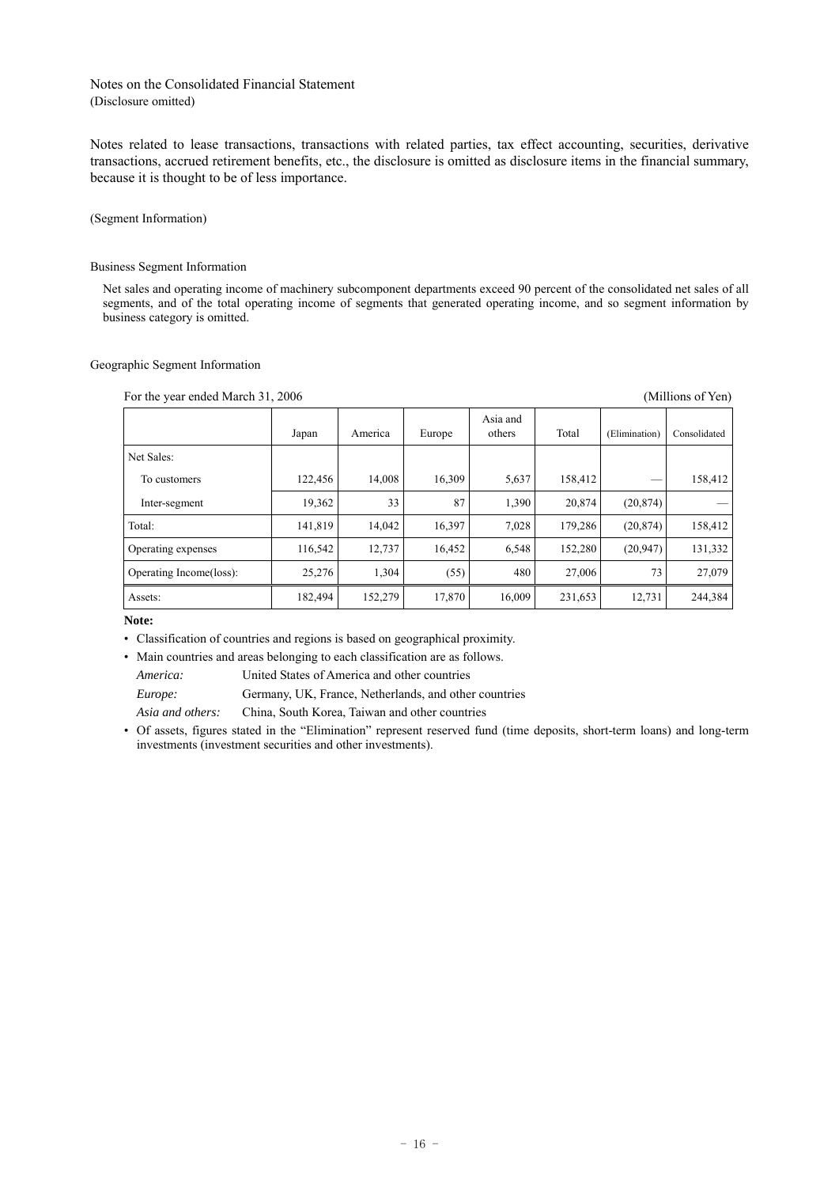### Notes on the Consolidated Financial Statement (Disclosure omitted)

Notes related to lease transactions, transactions with related parties, tax effect accounting, securities, derivative transactions, accrued retirement benefits, etc., the disclosure is omitted as disclosure items in the financial summary, because it is thought to be of less importance.

(Segment Information)

### Business Segment Information

Net sales and operating income of machinery subcomponent departments exceed 90 percent of the consolidated net sales of all segments, and of the total operating income of segments that generated operating income, and so segment information by business category is omitted.

### Geographic Segment Information

For the year ended March 31, 2006 (Millions of Yen)

|                         | Japan   | America | Europe | Asia and<br>others | Total   | (Elimination) | Consolidated |
|-------------------------|---------|---------|--------|--------------------|---------|---------------|--------------|
| Net Sales:              |         |         |        |                    |         |               |              |
| To customers            | 122,456 | 14,008  | 16,309 | 5,637              | 158,412 |               | 158,412      |
| Inter-segment           | 19,362  | 33      | 87     | 1,390              | 20,874  | (20, 874)     |              |
| Total:                  | 141,819 | 14,042  | 16,397 | 7,028              | 179,286 | (20, 874)     | 158,412      |
| Operating expenses      | 116,542 | 12,737  | 16,452 | 6,548              | 152,280 | (20, 947)     | 131,332      |
| Operating Income(loss): | 25,276  | 1,304   | (55)   | 480                | 27,006  | 73            | 27,079       |
| Assets:                 | 182,494 | 152,279 | 17,870 | 16,009             | 231,653 | 12,731        | 244,384      |

**Note:** 

• Classification of countries and regions is based on geographical proximity.

• Main countries and areas belonging to each classification are as follows.

*America:* United States of America and other countries

*Europe:* Germany, UK, France, Netherlands, and other countries

*Asia and others:* China, South Korea, Taiwan and other countries

• Of assets, figures stated in the "Elimination" represent reserved fund (time deposits, short-term loans) and long-term investments (investment securities and other investments).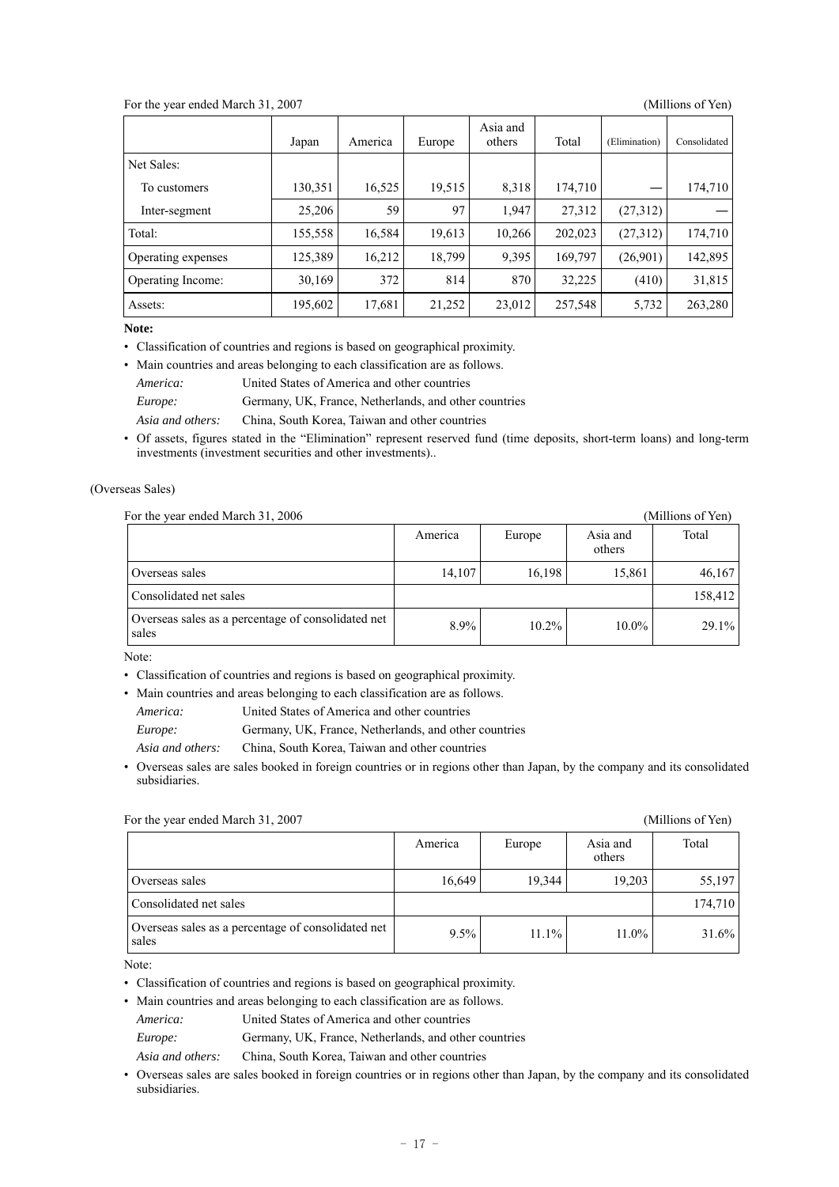### For the year ended March 31, 2007 (Millions of Yen)

|                    | Japan   | America | Europe | Asia and<br>others | Total   | (Elimination) | Consolidated |
|--------------------|---------|---------|--------|--------------------|---------|---------------|--------------|
| Net Sales:         |         |         |        |                    |         |               |              |
| To customers       | 130,351 | 16,525  | 19,515 | 8,318              | 174,710 |               | 174,710      |
| Inter-segment      | 25,206  | 59      | 97     | 1,947              | 27,312  | (27,312)      |              |
| Total:             | 155,558 | 16,584  | 19,613 | 10,266             | 202,023 | (27,312)      | 174,710      |
| Operating expenses | 125,389 | 16,212  | 18,799 | 9,395              | 169,797 | (26,901)      | 142,895      |
| Operating Income:  | 30,169  | 372     | 814    | 870                | 32,225  | (410)         | 31,815       |
| Assets:            | 195,602 | 17,681  | 21,252 | 23,012             | 257,548 | 5,732         | 263,280      |

**Note:** 

• Classification of countries and regions is based on geographical proximity.

• Main countries and areas belonging to each classification are as follows. *America:* United States of America and other countries *Europe:* Germany, UK, France, Netherlands, and other countries *Asia and others:* China, South Korea, Taiwan and other countries

• Of assets, figures stated in the "Elimination" represent reserved fund (time deposits, short-term loans) and long-term investments (investment securities and other investments)..

### (Overseas Sales)

For the year ended March 31, 2006 (Millions of Yen)

| For the year ended ividicity it, 2000                       |         |          |                    | (TVITIITUITS UL TUIT) |
|-------------------------------------------------------------|---------|----------|--------------------|-----------------------|
|                                                             | America | Europe   | Asia and<br>others | Total                 |
| Overseas sales                                              | 14,107  | 16.198   | 15,861             | 46,167                |
| Consolidated net sales                                      |         |          |                    | 158,412               |
| Overseas sales as a percentage of consolidated net<br>sales | 8.9%    | $10.2\%$ | $10.0\%$           | $29.1\%$              |

Note:

• Classification of countries and regions is based on geographical proximity.

• Main countries and areas belonging to each classification are as follows.

*America:* United States of America and other countries

*Europe:* Germany, UK, France, Netherlands, and other countries

*Asia and others:* China, South Korea, Taiwan and other countries

• Overseas sales are sales booked in foreign countries or in regions other than Japan, by the company and its consolidated subsidiaries.

For the year ended March 31, 2007 (Millions of Yen) America Europe Asia and others Total Overseas sales 16,649 19,344 19,203 55,197 Consolidated net sales 174,710 Overseas sales as a percentage of consolidated net  $\begin{array}{|l|l|}\n\hline\n\end{array}$  9.5% 11.1% 11.0% 11.0% 31.6%

Note:

• Classification of countries and regions is based on geographical proximity.

• Main countries and areas belonging to each classification are as follows.

*America:* United States of America and other countries

*Europe:* Germany, UK, France, Netherlands, and other countries

*Asia and others:* China, South Korea, Taiwan and other countries

• Overseas sales are sales booked in foreign countries or in regions other than Japan, by the company and its consolidated subsidiaries.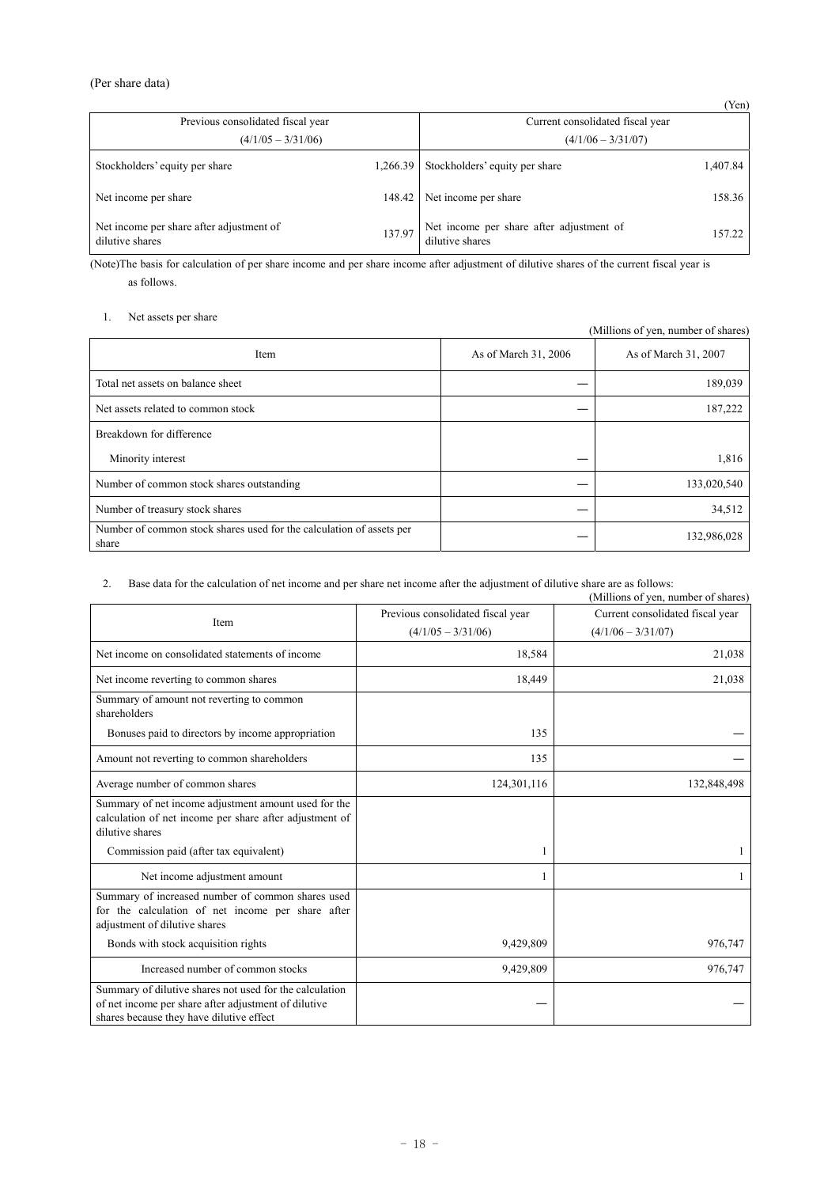### (Per share data)

| Previous consolidated fiscal year<br>$(4/1/05 - 3/31/06)$   | (101)<br>Current consolidated fiscal year<br>$(4/1/06 - 3/31/07)$ |                                                             |          |  |
|-------------------------------------------------------------|-------------------------------------------------------------------|-------------------------------------------------------------|----------|--|
| Stockholders' equity per share                              | 1,266.39                                                          | Stockholders' equity per share                              | 1,407.84 |  |
| Net income per share                                        | 148.42                                                            | Net income per share                                        | 158.36   |  |
| Net income per share after adjustment of<br>dilutive shares | 137.97                                                            | Net income per share after adjustment of<br>dilutive shares | 157.22   |  |

(Note)The basis for calculation of per share income and per share income after adjustment of dilutive shares of the current fiscal year is as follows.

### 1. Net assets per share

(Millions of yen, number of shares) Item As of March 31, 2006 As of March 31, 2007 Total net assets on balance sheet 189,039 Net assets related to common stock and the set of the set of the set of the set of the set of the set of the set of the set of the set of the set of the set of the set of the set of the set of the set of the set of the set Breakdown for difference Minority interest  $-$  1,816 Number of common stock shares outstanding  $-$  133,020,540 Number of treasury stock shares — 34,512 Number of common stock shares used for the calculation of assets per — 132,986,028

### 2. Base data for the calculation of net income and per share net income after the adjustment of dilutive share are as follows:

|                                                                                                                                                             |                                   | (Millions of yen, number of shares) |
|-------------------------------------------------------------------------------------------------------------------------------------------------------------|-----------------------------------|-------------------------------------|
|                                                                                                                                                             | Previous consolidated fiscal year | Current consolidated fiscal year    |
| Item                                                                                                                                                        | $(4/1/05 - 3/31/06)$              | $(4/1/06 - 3/31/07)$                |
| Net income on consolidated statements of income                                                                                                             | 18,584                            | 21,038                              |
| Net income reverting to common shares                                                                                                                       | 18,449                            | 21,038                              |
| Summary of amount not reverting to common<br>shareholders                                                                                                   |                                   |                                     |
| Bonuses paid to directors by income appropriation                                                                                                           | 135                               |                                     |
| Amount not reverting to common shareholders                                                                                                                 | 135                               |                                     |
| Average number of common shares                                                                                                                             | 124,301,116                       | 132,848,498                         |
| Summary of net income adjustment amount used for the<br>calculation of net income per share after adjustment of<br>dilutive shares                          |                                   |                                     |
| Commission paid (after tax equivalent)                                                                                                                      |                                   |                                     |
| Net income adjustment amount                                                                                                                                |                                   |                                     |
| Summary of increased number of common shares used<br>for the calculation of net income per share after<br>adjustment of dilutive shares                     |                                   |                                     |
| Bonds with stock acquisition rights                                                                                                                         | 9,429,809                         | 976,747                             |
| Increased number of common stocks                                                                                                                           | 9,429,809                         | 976,747                             |
| Summary of dilutive shares not used for the calculation<br>of net income per share after adjustment of dilutive<br>shares because they have dilutive effect |                                   |                                     |

(Yen)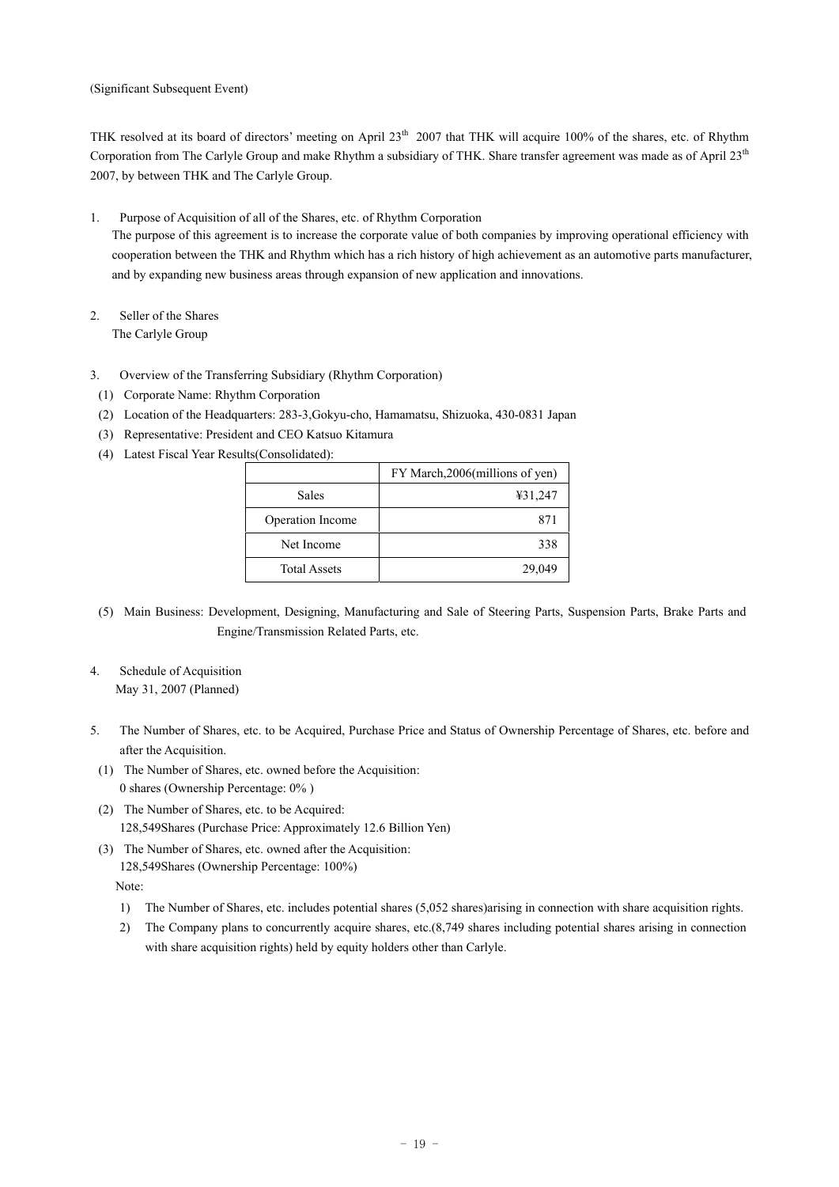(Significant Subsequent Event)

THK resolved at its board of directors' meeting on April 23<sup>th</sup> 2007 that THK will acquire 100% of the shares, etc. of Rhythm Corporation from The Carlyle Group and make Rhythm a subsidiary of THK. Share transfer agreement was made as of April 23<sup>th</sup> 2007, by between THK and The Carlyle Group.

- 1. Purpose of Acquisition of all of the Shares, etc. of Rhythm Corporation The purpose of this agreement is to increase the corporate value of both companies by improving operational efficiency with cooperation between the THK and Rhythm which has a rich history of high achievement as an automotive parts manufacturer, and by expanding new business areas through expansion of new application and innovations.
- 2. Seller of the Shares The Carlyle Group
- 3. Overview of the Transferring Subsidiary (Rhythm Corporation)
- (1) Corporate Name: Rhythm Corporation
- (2) Location of the Headquarters: 283-3,Gokyu-cho, Hamamatsu, Shizuoka, 430-0831 Japan
- (3) Representative: President and CEO Katsuo Kitamura
- (4) Latest Fiscal Year Results(Consolidated):

|                     | FY March, 2006 (millions of yen) |
|---------------------|----------------------------------|
| <b>Sales</b>        | ¥31,247                          |
| Operation Income    | 871                              |
| Net Income          | 338                              |
| <b>Total Assets</b> | 29,049                           |

- (5) Main Business: Development, Designing, Manufacturing and Sale of Steering Parts, Suspension Parts, Brake Parts and Engine/Transmission Related Parts, etc.
- 4. Schedule of Acquisition May 31, 2007 (Planned)
- 5. The Number of Shares, etc. to be Acquired, Purchase Price and Status of Ownership Percentage of Shares, etc. before and after the Acquisition.
- (1) The Number of Shares, etc. owned before the Acquisition: 0 shares (Ownership Percentage: 0% )
- (2) The Number of Shares, etc. to be Acquired: 128,549Shares (Purchase Price: Approximately 12.6 Billion Yen)
- (3) The Number of Shares, etc. owned after the Acquisition: 128,549Shares (Ownership Percentage: 100%)

Note:

- 1) The Number of Shares, etc. includes potential shares (5,052 shares)arising in connection with share acquisition rights.
- 2) The Company plans to concurrently acquire shares, etc.(8,749 shares including potential shares arising in connection with share acquisition rights) held by equity holders other than Carlyle.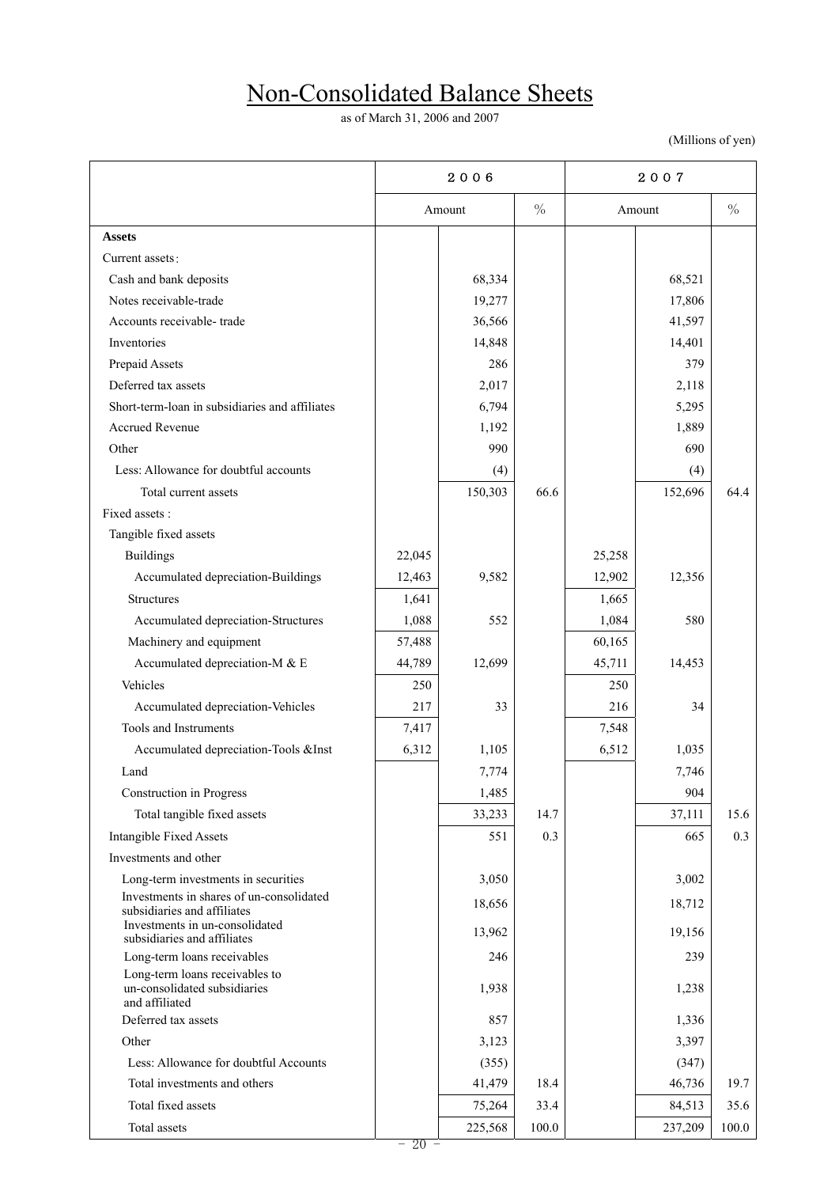# Non-Consolidated Balance Sheets

as of March 31, 2006 and 2007

(Millions of yen)

|                                                                                  |        | 2006    |               |        | 2007    |               |  |
|----------------------------------------------------------------------------------|--------|---------|---------------|--------|---------|---------------|--|
|                                                                                  |        | Amount  | $\frac{0}{0}$ |        | Amount  | $\frac{0}{0}$ |  |
| <b>Assets</b>                                                                    |        |         |               |        |         |               |  |
| Current assets:                                                                  |        |         |               |        |         |               |  |
| Cash and bank deposits                                                           |        | 68,334  |               |        | 68,521  |               |  |
| Notes receivable-trade                                                           |        | 19,277  |               |        | 17,806  |               |  |
| Accounts receivable-trade                                                        |        | 36,566  |               |        | 41,597  |               |  |
| Inventories                                                                      |        | 14,848  |               |        | 14,401  |               |  |
| Prepaid Assets                                                                   |        | 286     |               |        | 379     |               |  |
| Deferred tax assets                                                              |        | 2,017   |               |        | 2,118   |               |  |
| Short-term-loan in subsidiaries and affiliates                                   |        | 6,794   |               |        | 5,295   |               |  |
| Accrued Revenue                                                                  |        | 1,192   |               |        | 1,889   |               |  |
| Other                                                                            |        | 990     |               |        | 690     |               |  |
| Less: Allowance for doubtful accounts                                            |        | (4)     |               |        | (4)     |               |  |
| Total current assets                                                             |        | 150,303 | 66.6          |        | 152,696 | 64.4          |  |
| Fixed assets :                                                                   |        |         |               |        |         |               |  |
| Tangible fixed assets                                                            |        |         |               |        |         |               |  |
| <b>Buildings</b>                                                                 | 22,045 |         |               | 25,258 |         |               |  |
| Accumulated depreciation-Buildings                                               | 12,463 | 9,582   |               | 12,902 | 12,356  |               |  |
| <b>Structures</b>                                                                | 1,641  |         |               | 1,665  |         |               |  |
| Accumulated depreciation-Structures                                              | 1,088  | 552     |               | 1,084  | 580     |               |  |
| Machinery and equipment                                                          | 57,488 |         |               | 60,165 |         |               |  |
| Accumulated depreciation-M & E                                                   | 44,789 | 12,699  |               | 45,711 | 14,453  |               |  |
| Vehicles                                                                         | 250    |         |               | 250    |         |               |  |
| Accumulated depreciation-Vehicles                                                | 217    | 33      |               | 216    | 34      |               |  |
| Tools and Instruments                                                            | 7,417  |         |               | 7,548  |         |               |  |
| Accumulated depreciation-Tools &Inst                                             | 6,312  | 1,105   |               | 6,512  | 1,035   |               |  |
| Land                                                                             |        | 7,774   |               |        | 7,746   |               |  |
| Construction in Progress                                                         |        | 1,485   |               |        | 904     |               |  |
| Total tangible fixed assets                                                      |        | 33,233  | 14.7          |        | 37,111  | 15.6          |  |
| <b>Intangible Fixed Assets</b>                                                   |        | 551     | 0.3           |        | 665     | 0.3           |  |
| Investments and other                                                            |        |         |               |        |         |               |  |
| Long-term investments in securities                                              |        | 3,050   |               |        | 3,002   |               |  |
| Investments in shares of un-consolidated<br>subsidiaries and affiliates          |        | 18,656  |               |        | 18,712  |               |  |
| Investments in un-consolidated<br>subsidiaries and affiliates                    |        | 13,962  |               |        | 19,156  |               |  |
| Long-term loans receivables                                                      |        | 246     |               |        | 239     |               |  |
| Long-term loans receivables to<br>un-consolidated subsidiaries<br>and affiliated |        | 1,938   |               |        | 1,238   |               |  |
| Deferred tax assets                                                              |        | 857     |               |        | 1,336   |               |  |
| Other                                                                            |        | 3,123   |               |        | 3,397   |               |  |
| Less: Allowance for doubtful Accounts                                            |        | (355)   |               |        | (347)   |               |  |
| Total investments and others                                                     |        | 41,479  | 18.4          |        | 46,736  | 19.7          |  |
| Total fixed assets                                                               |        | 75,264  | 33.4          |        | 84,513  | 35.6          |  |
| Total assets                                                                     |        | 225,568 | 100.0         |        | 237,209 | 100.0         |  |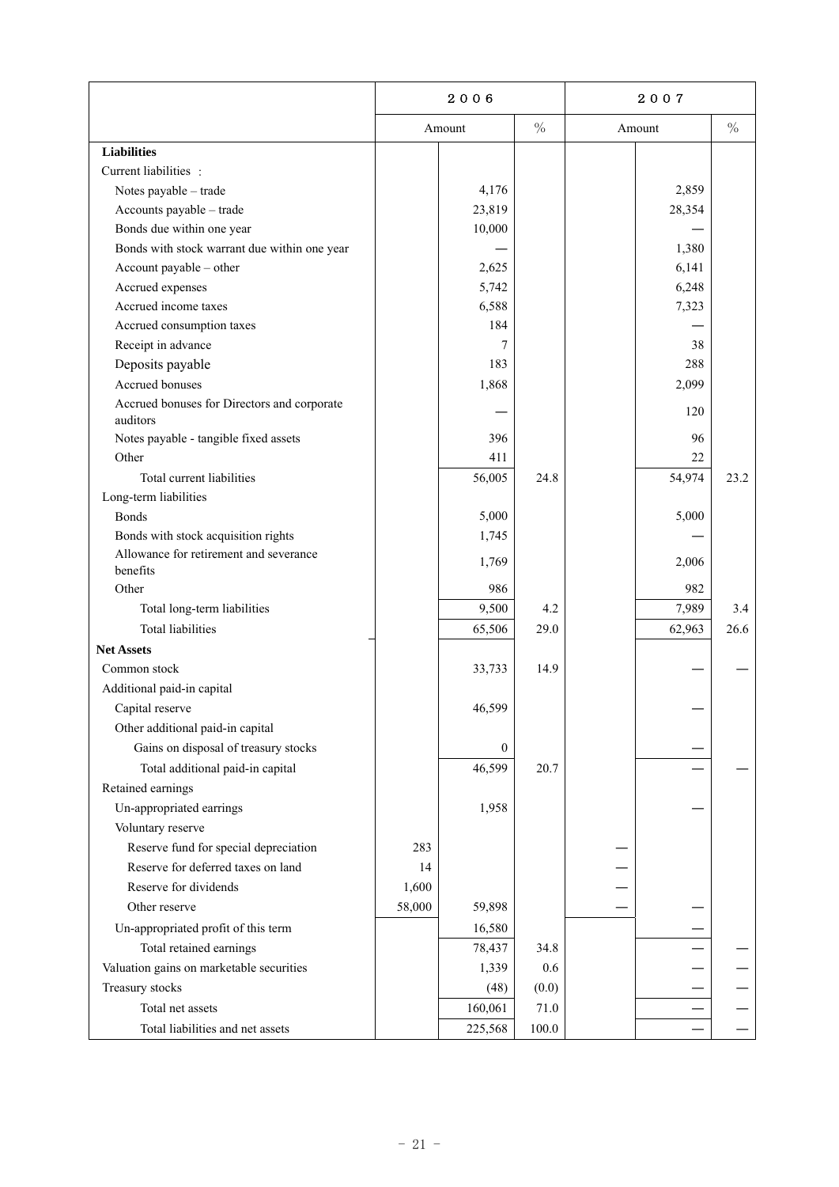|                                                         | 2006   |                  |               | 2007 |        |      |
|---------------------------------------------------------|--------|------------------|---------------|------|--------|------|
|                                                         |        | Amount           | $\frac{0}{0}$ |      | Amount | $\%$ |
| <b>Liabilities</b>                                      |        |                  |               |      |        |      |
| Current liabilities :                                   |        |                  |               |      |        |      |
| Notes payable - trade                                   |        | 4,176            |               |      | 2,859  |      |
| Accounts payable - trade                                |        | 23,819           |               |      | 28,354 |      |
| Bonds due within one year                               |        | 10,000           |               |      |        |      |
| Bonds with stock warrant due within one year            |        |                  |               |      | 1,380  |      |
| Account payable - other                                 |        | 2,625            |               |      | 6,141  |      |
| Accrued expenses                                        |        | 5,742            |               |      | 6,248  |      |
| Accrued income taxes                                    |        | 6,588            |               |      | 7,323  |      |
| Accrued consumption taxes                               |        | 184              |               |      |        |      |
| Receipt in advance                                      |        | 7                |               |      | 38     |      |
| Deposits payable                                        |        | 183              |               |      | 288    |      |
| Accrued bonuses                                         |        | 1,868            |               |      | 2,099  |      |
| Accrued bonuses for Directors and corporate<br>auditors |        |                  |               |      | 120    |      |
| Notes payable - tangible fixed assets                   |        | 396              |               |      | 96     |      |
| Other                                                   |        | 411              |               |      | 22     |      |
| Total current liabilities                               |        | 56,005           | 24.8          |      | 54,974 | 23.2 |
| Long-term liabilities                                   |        |                  |               |      |        |      |
| <b>Bonds</b>                                            |        | 5,000            |               |      | 5,000  |      |
| Bonds with stock acquisition rights                     |        | 1,745            |               |      |        |      |
| Allowance for retirement and severance                  |        | 1,769            |               |      | 2,006  |      |
| benefits                                                |        |                  |               |      |        |      |
| Other                                                   |        | 986              |               |      | 982    |      |
| Total long-term liabilities                             |        | 9,500            | 4.2           |      | 7,989  | 3.4  |
| <b>Total liabilities</b>                                |        | 65,506           | 29.0          |      | 62,963 | 26.6 |
| <b>Net Assets</b>                                       |        |                  |               |      |        |      |
| Common stock                                            |        | 33,733           | 14.9          |      |        |      |
| Additional paid-in capital                              |        |                  |               |      |        |      |
| Capital reserve                                         |        | 46,599           |               |      |        |      |
| Other additional paid-in capital                        |        |                  |               |      |        |      |
| Gains on disposal of treasury stocks                    |        | $\boldsymbol{0}$ |               |      |        |      |
| Total additional paid-in capital                        |        | 46,599           | 20.7          |      |        |      |
| Retained earnings                                       |        |                  |               |      |        |      |
| Un-appropriated earrings                                |        | 1,958            |               |      |        |      |
| Voluntary reserve                                       |        |                  |               |      |        |      |
| Reserve fund for special depreciation                   | 283    |                  |               |      |        |      |
| Reserve for deferred taxes on land                      | 14     |                  |               |      |        |      |
| Reserve for dividends                                   | 1,600  |                  |               |      |        |      |
| Other reserve                                           | 58,000 | 59,898           |               |      |        |      |
| Un-appropriated profit of this term                     |        | 16,580           |               |      |        |      |
| Total retained earnings                                 |        | 78,437           | 34.8          |      |        |      |
| Valuation gains on marketable securities                |        | 1,339            | 0.6           |      |        |      |
| Treasury stocks                                         |        | (48)             | (0.0)         |      |        |      |
| Total net assets                                        |        | 160,061          | $71.0\,$      |      |        |      |
| Total liabilities and net assets                        |        | 225,568          | 100.0         |      |        |      |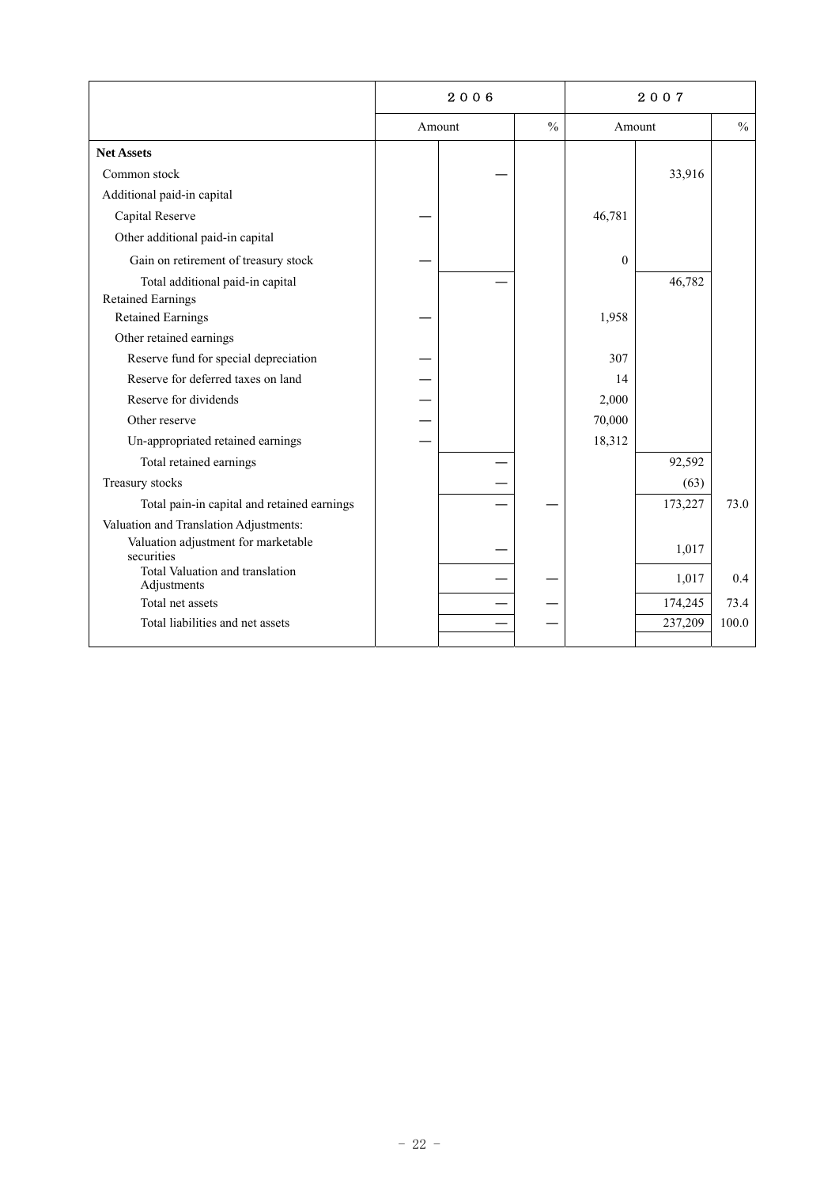|                                                              | 2006   |  |               |          |         |               |
|--------------------------------------------------------------|--------|--|---------------|----------|---------|---------------|
|                                                              | Amount |  | $\frac{0}{0}$ | Amount   |         | $\frac{0}{0}$ |
| <b>Net Assets</b>                                            |        |  |               |          |         |               |
| Common stock                                                 |        |  |               |          | 33,916  |               |
| Additional paid-in capital                                   |        |  |               |          |         |               |
| Capital Reserve                                              |        |  |               | 46,781   |         |               |
| Other additional paid-in capital                             |        |  |               |          |         |               |
| Gain on retirement of treasury stock                         |        |  |               | $\theta$ |         |               |
| Total additional paid-in capital<br><b>Retained Earnings</b> |        |  |               |          | 46,782  |               |
| <b>Retained Earnings</b>                                     |        |  |               | 1,958    |         |               |
| Other retained earnings                                      |        |  |               |          |         |               |
| Reserve fund for special depreciation                        |        |  |               | 307      |         |               |
| Reserve for deferred taxes on land                           |        |  |               | 14       |         |               |
| Reserve for dividends                                        |        |  |               | 2,000    |         |               |
| Other reserve                                                |        |  |               | 70,000   |         |               |
| Un-appropriated retained earnings                            |        |  |               | 18,312   |         |               |
| Total retained earnings                                      |        |  |               |          | 92,592  |               |
| Treasury stocks                                              |        |  |               |          | (63)    |               |
| Total pain-in capital and retained earnings                  |        |  |               |          | 173,227 | 73.0          |
| Valuation and Translation Adjustments:                       |        |  |               |          |         |               |
| Valuation adjustment for marketable<br>securities            |        |  |               |          | 1,017   |               |
| Total Valuation and translation<br>Adjustments               |        |  |               |          | 1,017   | 0.4           |
| Total net assets                                             |        |  |               |          | 174,245 | 73.4          |
| Total liabilities and net assets                             |        |  |               |          | 237,209 | 100.0         |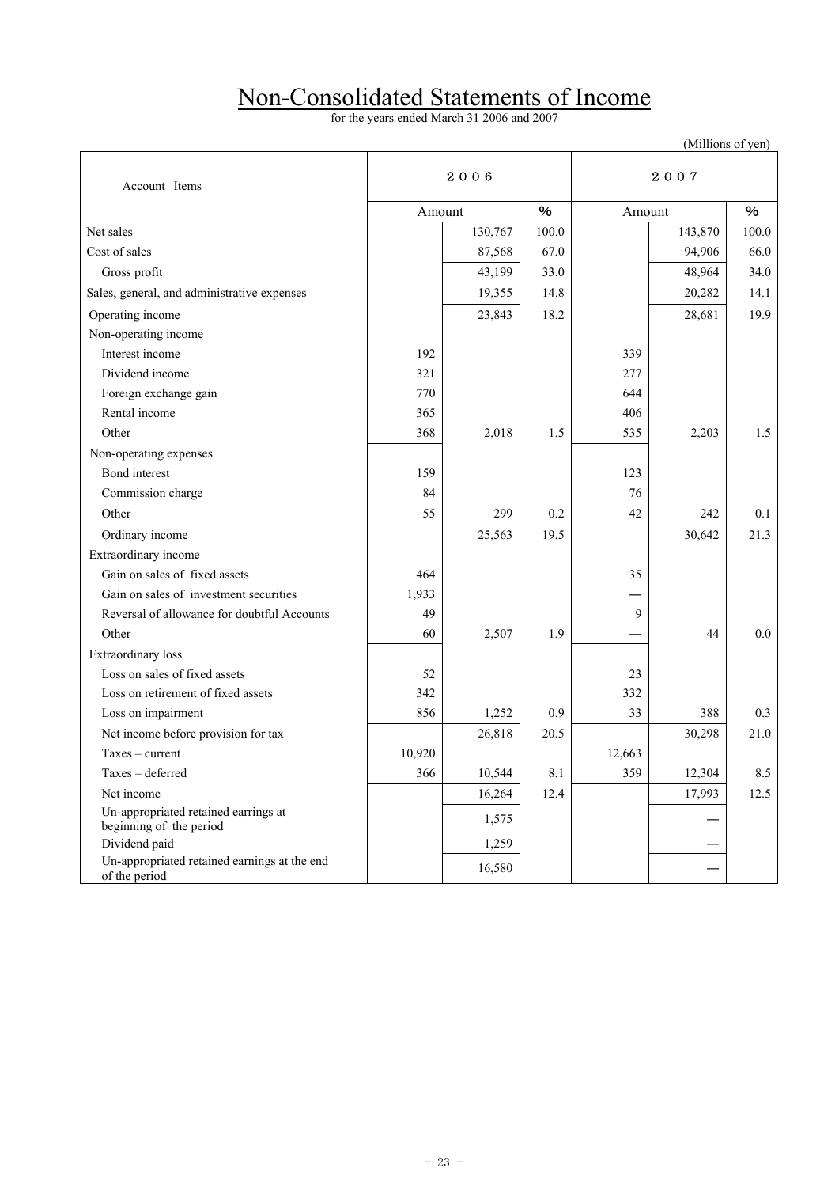### Non-Consolidated Statements of Income

for the years ended March 31 2006 and 2007

|                                                                 |        |         |       |        |         | (Millions of yen) |  |
|-----------------------------------------------------------------|--------|---------|-------|--------|---------|-------------------|--|
| Account Items                                                   |        | 2006    |       | 2007   |         |                   |  |
|                                                                 | Amount |         | %     |        | Amount  |                   |  |
| Net sales                                                       |        | 130,767 | 100.0 |        | 143,870 | 100.0             |  |
| Cost of sales                                                   |        | 87,568  | 67.0  |        | 94,906  | 66.0              |  |
| Gross profit                                                    |        | 43,199  | 33.0  |        | 48,964  | 34.0              |  |
| Sales, general, and administrative expenses                     |        | 19,355  | 14.8  |        | 20,282  | 14.1              |  |
| Operating income                                                |        | 23,843  | 18.2  |        | 28,681  | 19.9              |  |
| Non-operating income                                            |        |         |       |        |         |                   |  |
| Interest income                                                 | 192    |         |       | 339    |         |                   |  |
| Dividend income                                                 | 321    |         |       | 277    |         |                   |  |
| Foreign exchange gain                                           | 770    |         |       | 644    |         |                   |  |
| Rental income                                                   | 365    |         |       | 406    |         |                   |  |
| Other                                                           | 368    | 2,018   | 1.5   | 535    | 2,203   | 1.5               |  |
| Non-operating expenses                                          |        |         |       |        |         |                   |  |
| Bond interest                                                   | 159    |         |       | 123    |         |                   |  |
| Commission charge                                               | 84     |         |       | 76     |         |                   |  |
| Other                                                           | 55     | 299     | 0.2   | 42     | 242     | 0.1               |  |
| Ordinary income                                                 |        | 25,563  | 19.5  |        | 30,642  | 21.3              |  |
| Extraordinary income                                            |        |         |       |        |         |                   |  |
| Gain on sales of fixed assets                                   | 464    |         |       | 35     |         |                   |  |
| Gain on sales of investment securities                          | 1,933  |         |       |        |         |                   |  |
| Reversal of allowance for doubtful Accounts                     | 49     |         |       | 9      |         |                   |  |
| Other                                                           | 60     | 2,507   | 1.9   |        | 44      | 0.0               |  |
| Extraordinary loss                                              |        |         |       |        |         |                   |  |
| Loss on sales of fixed assets                                   | 52     |         |       | 23     |         |                   |  |
| Loss on retirement of fixed assets                              | 342    |         |       | 332    |         |                   |  |
| Loss on impairment                                              | 856    | 1,252   | 0.9   | 33     | 388     | 0.3               |  |
| Net income before provision for tax                             |        | 26,818  | 20.5  |        | 30,298  | 21.0              |  |
| $Taxes - current$                                               | 10,920 |         |       | 12,663 |         |                   |  |
| Taxes - deferred                                                | 366    | 10,544  | 8.1   | 359    | 12,304  | 8.5               |  |
| Net income                                                      |        | 16,264  | 12.4  |        | 17,993  | 12.5              |  |
| Un-appropriated retained earrings at<br>beginning of the period |        | 1,575   |       |        |         |                   |  |
| Dividend paid                                                   |        | 1,259   |       |        |         |                   |  |
| Un-appropriated retained earnings at the end<br>of the period   |        | 16,580  |       |        |         |                   |  |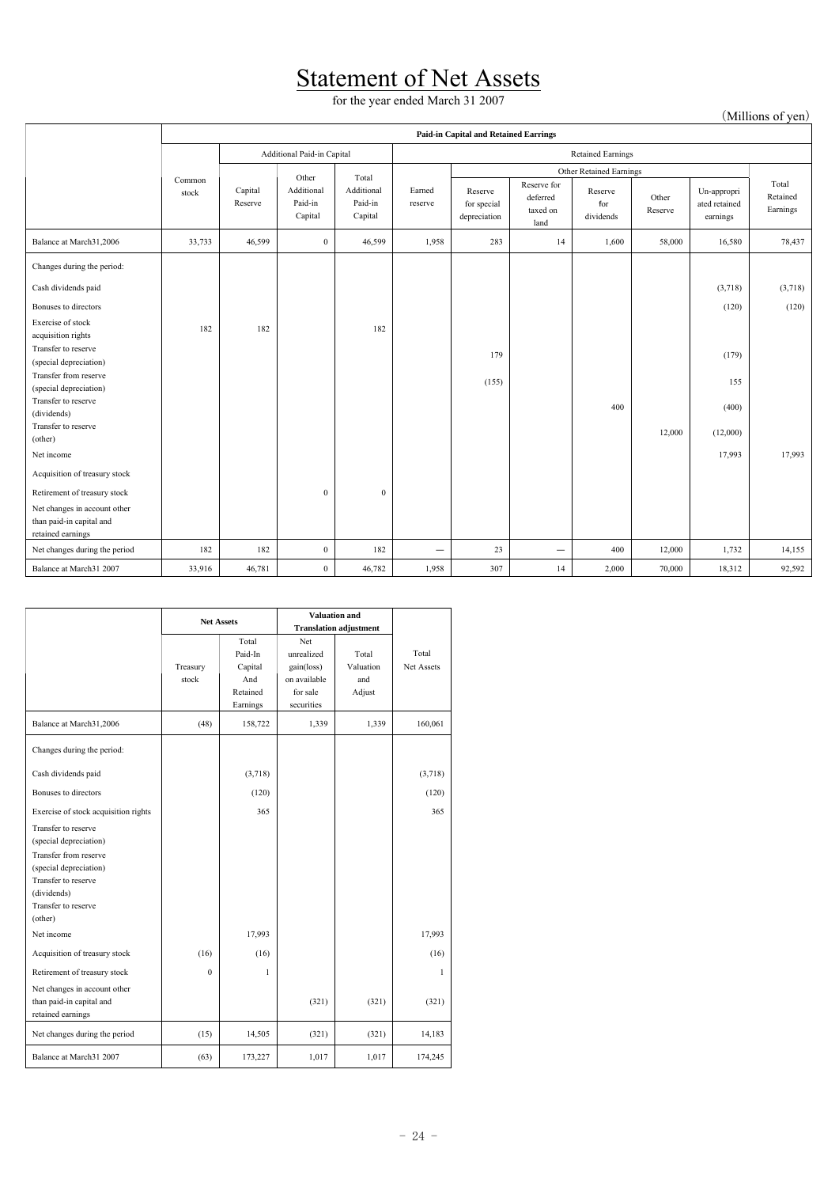### **Statement of Net Assets**

for the year ended March 31 2007

(Millions of yen)

|                                                                               | <b>Paid-in Capital and Retained Earrings</b> |                    |                                  |                                  |                   |                                        |                                             |                             |                  |                                          |                               |  |
|-------------------------------------------------------------------------------|----------------------------------------------|--------------------|----------------------------------|----------------------------------|-------------------|----------------------------------------|---------------------------------------------|-----------------------------|------------------|------------------------------------------|-------------------------------|--|
|                                                                               | Additional Paid-in Capital                   |                    |                                  |                                  |                   | <b>Retained Earnings</b>               |                                             |                             |                  |                                          |                               |  |
|                                                                               |                                              |                    | Other                            | Total                            |                   | Other Retained Earnings                |                                             |                             |                  |                                          |                               |  |
|                                                                               | Common<br>stock                              | Capital<br>Reserve | Additional<br>Paid-in<br>Capital | Additional<br>Paid-in<br>Capital | Earned<br>reserve | Reserve<br>for special<br>depreciation | Reserve for<br>deferred<br>taxed on<br>land | Reserve<br>for<br>dividends | Other<br>Reserve | Un-appropri<br>ated retained<br>earnings | Total<br>Retained<br>Earnings |  |
| Balance at March31,2006                                                       | 33,733                                       | 46,599             | $\bf{0}$                         | 46,599                           | 1,958             | 283                                    | 14                                          | 1,600                       | 58,000           | 16,580                                   | 78,437                        |  |
| Changes during the period:                                                    |                                              |                    |                                  |                                  |                   |                                        |                                             |                             |                  |                                          |                               |  |
| Cash dividends paid                                                           |                                              |                    |                                  |                                  |                   |                                        |                                             |                             |                  | (3,718)                                  | (3,718)                       |  |
| Bonuses to directors                                                          |                                              |                    |                                  |                                  |                   |                                        |                                             |                             |                  | (120)                                    | (120)                         |  |
| Exercise of stock<br>acquisition rights                                       | 182                                          | 182                |                                  | 182                              |                   |                                        |                                             |                             |                  |                                          |                               |  |
| Transfer to reserve<br>(special depreciation)                                 |                                              |                    |                                  |                                  |                   | 179                                    |                                             |                             |                  | (179)                                    |                               |  |
| Transfer from reserve<br>(special depreciation)                               |                                              |                    |                                  |                                  |                   | (155)                                  |                                             |                             |                  | 155                                      |                               |  |
| Transfer to reserve                                                           |                                              |                    |                                  |                                  |                   |                                        |                                             | 400                         |                  | (400)                                    |                               |  |
| (dividends)<br>Transfer to reserve                                            |                                              |                    |                                  |                                  |                   |                                        |                                             |                             |                  |                                          |                               |  |
| (other)                                                                       |                                              |                    |                                  |                                  |                   |                                        |                                             |                             | 12,000           | (12,000)                                 |                               |  |
| Net income                                                                    |                                              |                    |                                  |                                  |                   |                                        |                                             |                             |                  | 17,993                                   | 17,993                        |  |
| Acquisition of treasury stock                                                 |                                              |                    |                                  |                                  |                   |                                        |                                             |                             |                  |                                          |                               |  |
| Retirement of treasury stock                                                  |                                              |                    | $\bf{0}$                         | $\bf{0}$                         |                   |                                        |                                             |                             |                  |                                          |                               |  |
| Net changes in account other<br>than paid-in capital and<br>retained earnings |                                              |                    |                                  |                                  |                   |                                        |                                             |                             |                  |                                          |                               |  |
| Net changes during the period                                                 | 182                                          | 182                | $\bf{0}$                         | 182                              | —                 | 23                                     |                                             | 400                         | 12,000           | 1,732                                    | 14,155                        |  |
| Balance at March31 2007                                                       | 33,916                                       | 46,781             | $\bf{0}$                         | 46,782                           | 1,958             | 307                                    | 14                                          | 2,000                       | 70,000           | 18,312                                   | 92,592                        |  |

|                                                                                                                                                                          | <b>Net Assets</b> |                                                            | <b>Valuation and</b><br><b>Translation adjustment</b>                     |                                     |                     |
|--------------------------------------------------------------------------------------------------------------------------------------------------------------------------|-------------------|------------------------------------------------------------|---------------------------------------------------------------------------|-------------------------------------|---------------------|
|                                                                                                                                                                          | Treasury<br>stock | Total<br>Paid-In<br>Capital<br>And<br>Retained<br>Earnings | Net<br>unrealized<br>gain(loss)<br>on available<br>for sale<br>securities | Total<br>Valuation<br>and<br>Adjust | Total<br>Net Assets |
| Balance at March31,2006                                                                                                                                                  | (48)              | 158,722                                                    | 1,339                                                                     | 1,339                               | 160,061             |
| Changes during the period:                                                                                                                                               |                   |                                                            |                                                                           |                                     |                     |
| Cash dividends paid                                                                                                                                                      |                   | (3,718)                                                    |                                                                           |                                     | (3,718)             |
| Bonuses to directors                                                                                                                                                     |                   | (120)                                                      |                                                                           |                                     | (120)               |
| Exercise of stock acquisition rights                                                                                                                                     |                   | 365                                                        |                                                                           |                                     | 365                 |
| Transfer to reserve<br>(special depreciation)<br>Transfer from reserve<br>(special depreciation)<br>Transfer to reserve<br>(dividends)<br>Transfer to reserve<br>(other) |                   |                                                            |                                                                           |                                     |                     |
| Net income                                                                                                                                                               |                   | 17,993                                                     |                                                                           |                                     | 17,993              |
| Acquisition of treasury stock                                                                                                                                            | (16)              | (16)                                                       |                                                                           |                                     | (16)                |
| Retirement of treasury stock                                                                                                                                             | $\theta$          | 1                                                          |                                                                           |                                     | 1                   |
| Net changes in account other<br>than paid-in capital and<br>retained earnings                                                                                            |                   |                                                            | (321)                                                                     | (321)                               | (321)               |
| Net changes during the period                                                                                                                                            | (15)              | 14,505                                                     | (321)                                                                     | (321)                               | 14,183              |
| Balance at March31 2007                                                                                                                                                  | (63)              | 173,227                                                    | 1,017                                                                     | 1,017                               | 174,245             |